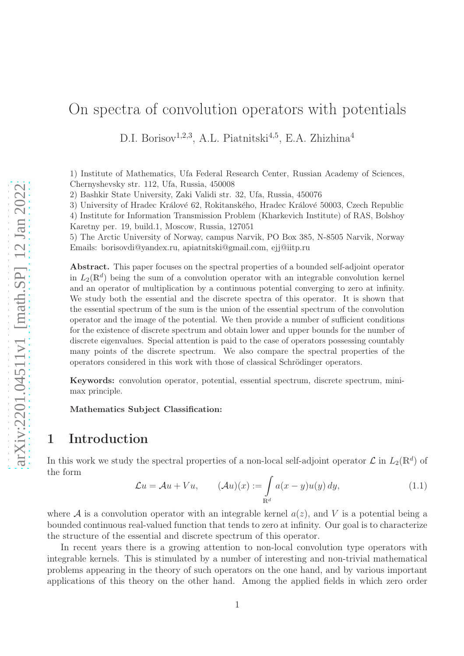# On spectra of convolution operators with potentials

D.I. Borisov<sup>1,2,3</sup>, A.L. Piatnitski<sup>4,5</sup>, E.A. Zhizhina<sup>4</sup>

1) Institute of Mathematics, Ufa Federal Research Center, Russian Academy of Sciences, Chernyshevsky str. 112, Ufa, Russia, 450008

2) Bashkir State University, Zaki Validi str. 32, Ufa, Russia, 450076

3) University of Hradec Králové 62, Rokitanského, Hradec Králové 50003, Czech Republic

4) Institute for Information Transmission Problem (Kharkevich Institute) of RAS, Bolshoy Karetny per. 19, build.1, Moscow, Russia, 127051

5) The Arctic University of Norway, campus Narvik, PO Box 385, N-8505 Narvik, Norway Emails: borisovdi@yandex.ru, apiatnitski@gmail.com, ejj@iitp.ru

Abstract. This paper focuses on the spectral properties of a bounded self-adjoint operator in  $L_2(\mathbb{R}^d)$  being the sum of a convolution operator with an integrable convolution kernel and an operator of multiplication by a continuous potential converging to zero at infinity. We study both the essential and the discrete spectra of this operator. It is shown that the essential spectrum of the sum is the union of the essential spectrum of the convolution operator and the image of the potential. We then provide a number of sufficient conditions for the existence of discrete spectrum and obtain lower and upper bounds for the number of discrete eigenvalues. Special attention is paid to the case of operators possessing countably many points of the discrete spectrum. We also compare the spectral properties of the operators considered in this work with those of classical Schrödinger operators.

Keywords: convolution operator, potential, essential spectrum, discrete spectrum, minimax principle.

Mathematics Subject Classification:

## 1 Introduction

In this work we study the spectral properties of a non-local self-adjoint operator  $\mathcal{L}$  in  $L_2(\mathbb{R}^d)$  of the form

$$
\mathcal{L}u = \mathcal{A}u + Vu, \qquad (\mathcal{A}u)(x) := \int_{\mathbb{R}^d} a(x - y)u(y) dy, \qquad (1.1)
$$

where A is a convolution operator with an integrable kernel  $a(z)$ , and V is a potential being a bounded continuous real-valued function that tends to zero at infinity. Our goal is to characterize the structure of the essential and discrete spectrum of this operator.

In recent years there is a growing attention to non-local convolution type operators with integrable kernels. This is stimulated by a number of interesting and non-trivial mathematical problems appearing in the theory of such operators on the one hand, and by various important applications of this theory on the other hand. Among the applied fields in which zero order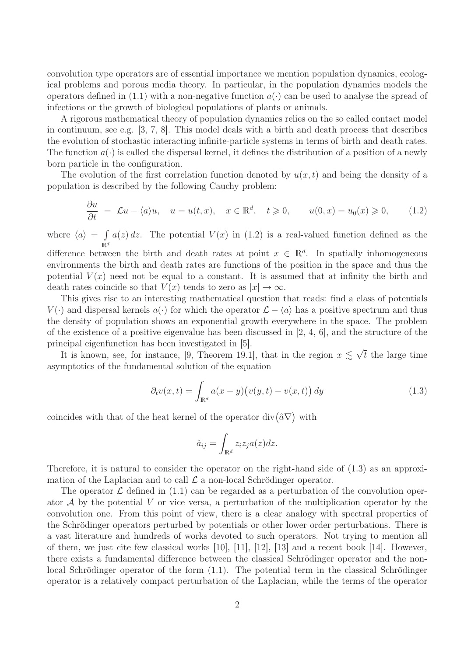convolution type operators are of essential importance we mention population dynamics, ecological problems and porous media theory. In particular, in the population dynamics models the operators defined in (1.1) with a non-negative function  $a(\cdot)$  can be used to analyse the spread of infections or the growth of biological populations of plants or animals.

A rigorous mathematical theory of population dynamics relies on the so called contact model in continuum, see e.g. [3, 7, 8]. This model deals with a birth and death process that describes the evolution of stochastic interacting infinite-particle systems in terms of birth and death rates. The function  $a(\cdot)$  is called the dispersal kernel, it defines the distribution of a position of a newly born particle in the configuration.

The evolution of the first correlation function denoted by  $u(x, t)$  and being the density of a population is described by the following Cauchy problem:

$$
\frac{\partial u}{\partial t} = \mathcal{L}u - \langle a \rangle u, \quad u = u(t, x), \quad x \in \mathbb{R}^d, \quad t \ge 0, \qquad u(0, x) = u_0(x) \ge 0, \tag{1.2}
$$

where  $\langle a \rangle = \int$  $\mathbb{R}^d$  $a(z) dz$ . The potential  $V(x)$  in (1.2) is a real-valued function defined as the

difference between the birth and death rates at point  $x \in \mathbb{R}^d$ . In spatially inhomogeneous environments the birth and death rates are functions of the position in the space and thus the potential  $V(x)$  need not be equal to a constant. It is assumed that at infinity the birth and death rates coincide so that  $V(x)$  tends to zero as  $|x| \to \infty$ .

This gives rise to an interesting mathematical question that reads: find a class of potentials  $V(\cdot)$  and dispersal kernels  $a(\cdot)$  for which the operator  $\mathcal{L} - \langle a \rangle$  has a positive spectrum and thus the density of population shows an exponential growth everywhere in the space. The problem of the existence of a positive eigenvalue has been discussed in [2, 4, 6], and the structure of the principal eigenfunction has been investigated in [5].

It is known, see, for instance, [9, Theorem 19.1], that in the region  $x \lesssim \sqrt{t}$  the large time asymptotics of the fundamental solution of the equation

$$
\partial_t v(x,t) = \int_{\mathbb{R}^d} a(x-y) \big( v(y,t) - v(x,t) \big) dy \tag{1.3}
$$

coincides with that of the heat kernel of the operator  $\text{div}(\hat{a} \nabla)$  with

$$
\hat{a}_{ij} = \int_{\mathbb{R}^d} z_i z_j a(z) dz.
$$

Therefore, it is natural to consider the operator on the right-hand side of (1.3) as an approximation of the Laplacian and to call  $\mathcal L$  a non-local Schrödinger operator.

The operator  $\mathcal L$  defined in (1.1) can be regarded as a perturbation of the convolution operator  $A$  by the potential V or vice versa, a perturbation of the multiplication operator by the convolution one. From this point of view, there is a clear analogy with spectral properties of the Schrödinger operators perturbed by potentials or other lower order perturbations. There is a vast literature and hundreds of works devoted to such operators. Not trying to mention all of them, we just cite few classical works [10], [11], [12], [13] and a recent book [14]. However, there exists a fundamental difference between the classical Schrödinger operator and the nonlocal Schrödinger operator of the form  $(1.1)$ . The potential term in the classical Schrödinger operator is a relatively compact perturbation of the Laplacian, while the terms of the operator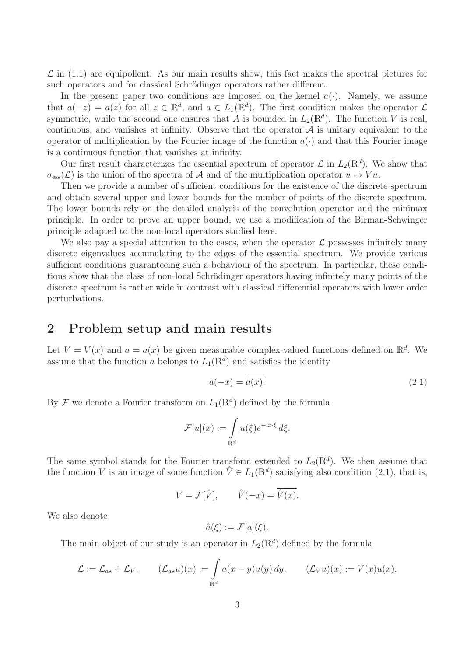$\mathcal L$  in (1.1) are equipollent. As our main results show, this fact makes the spectral pictures for such operators and for classical Schrödinger operators rather different.

In the present paper two conditions are imposed on the kernel  $a(\cdot)$ . Namely, we assume that  $a(-z) = \overline{a(z)}$  for all  $z \in \mathbb{R}^d$ , and  $a \in L_1(\mathbb{R}^d)$ . The first condition makes the operator  $\mathcal{L}$ symmetric, while the second one ensures that A is bounded in  $L_2(\mathbb{R}^d)$ . The function V is real, continuous, and vanishes at infinity. Observe that the operator  $A$  is unitary equivalent to the operator of multiplication by the Fourier image of the function  $a(\cdot)$  and that this Fourier image is a continuous function that vanishes at infinity.

Our first result characterizes the essential spectrum of operator  $\mathcal{L}$  in  $L_2(\mathbb{R}^d)$ . We show that  $\sigma_{\text{ess}}(\mathcal{L})$  is the union of the spectra of A and of the multiplication operator  $u \mapsto Vu$ .

Then we provide a number of sufficient conditions for the existence of the discrete spectrum and obtain several upper and lower bounds for the number of points of the discrete spectrum. The lower bounds rely on the detailed analysis of the convolution operator and the minimax principle. In order to prove an upper bound, we use a modification of the Birman-Schwinger principle adapted to the non-local operators studied here.

We also pay a special attention to the cases, when the operator  $\mathcal L$  possesses infinitely many discrete eigenvalues accumulating to the edges of the essential spectrum. We provide various sufficient conditions guaranteeing such a behaviour of the spectrum. In particular, these conditions show that the class of non-local Schrödinger operators having infinitely many points of the discrete spectrum is rather wide in contrast with classical differential operators with lower order perturbations.

### 2 Problem setup and main results

Let  $V = V(x)$  and  $a = a(x)$  be given measurable complex-valued functions defined on  $\mathbb{R}^d$ . We assume that the function a belongs to  $L_1(\mathbb{R}^d)$  and satisfies the identity

$$
a(-x) = \overline{a(x)}.
$$
\n<sup>(2.1)</sup>

By  $\mathcal F$  we denote a Fourier transform on  $L_1(\mathbb{R}^d)$  defined by the formula

$$
\mathcal{F}[u](x) := \int_{\mathbb{R}^d} u(\xi) e^{-\mathrm{i}x \cdot \xi} d\xi.
$$

The same symbol stands for the Fourier transform extended to  $L_2(\mathbb{R}^d)$ . We then assume that the function V is an image of some function  $\hat{V} \in L_1(\mathbb{R}^d)$  satisfying also condition (2.1), that is,

$$
V = \mathcal{F}[\hat{V}], \qquad \hat{V}(-x) = \overline{\hat{V}(x)}.
$$

We also denote

$$
\hat{a}(\xi) := \mathcal{F}[a](\xi).
$$

The main object of our study is an operator in  $L_2(\mathbb{R}^d)$  defined by the formula

$$
\mathcal{L} := \mathcal{L}_{a*} + \mathcal{L}_V, \qquad (\mathcal{L}_{a*}u)(x) := \int_{\mathbb{R}^d} a(x - y)u(y) dy, \qquad (\mathcal{L}_V u)(x) := V(x)u(x).
$$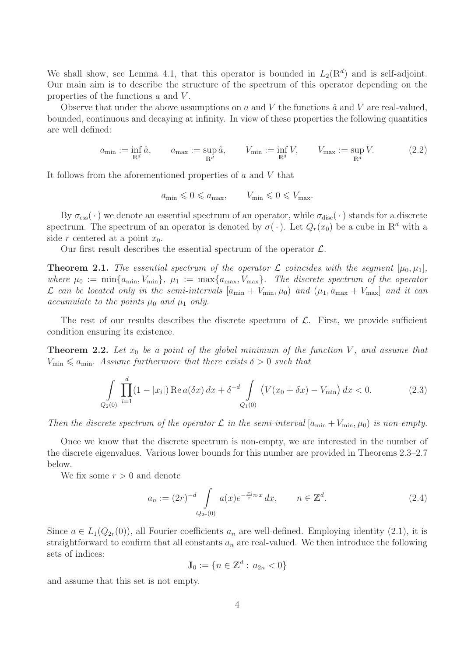We shall show, see Lemma 4.1, that this operator is bounded in  $L_2(\mathbb{R}^d)$  and is self-adjoint. Our main aim is to describe the structure of the spectrum of this operator depending on the properties of the functions  $a$  and  $V$ .

Observe that under the above assumptions on  $a$  and  $V$  the functions  $\hat{a}$  and  $V$  are real-valued, bounded, continuous and decaying at infinity. In view of these properties the following quantities are well defined:

$$
a_{\min} := \inf_{\mathbb{R}^d} \hat{a}, \qquad a_{\max} := \sup_{\mathbb{R}^d} \hat{a}, \qquad V_{\min} := \inf_{\mathbb{R}^d} V, \qquad V_{\max} := \sup_{\mathbb{R}^d} V.
$$
 (2.2)

It follows from the aforementioned properties of  $a$  and  $V$  that

$$
a_{\min} \leq 0 \leq a_{\max}, \qquad V_{\min} \leq 0 \leq V_{\max}.
$$

By  $\sigma_{\rm ess}(\cdot)$  we denote an essential spectrum of an operator, while  $\sigma_{\rm disc}(\cdot)$  stands for a discrete spectrum. The spectrum of an operator is denoted by  $\sigma(\cdot)$ . Let  $Q_r(x_0)$  be a cube in  $\mathbb{R}^d$  with a side r centered at a point  $x_0$ .

Our first result describes the essential spectrum of the operator  $\mathcal{L}$ .

**Theorem 2.1.** The essential spectrum of the operator  $\mathcal{L}$  coincides with the segment  $[\mu_0, \mu_1]$ , where  $\mu_0 := \min\{a_{\min}, V_{\min}\}, \mu_1 := \max\{a_{\max}, V_{\max}\}.$  The discrete spectrum of the operator  $\mathcal{L}$  *can be located only in the semi-intervals*  $[a_{\min} + V_{\min}, \mu_0]$  *and*  $(\mu_1, a_{\max} + V_{\max})$  *and it can accumulate to the points*  $\mu_0$  *and*  $\mu_1$  *only.* 

The rest of our results describes the discrete spectrum of  $\mathcal{L}$ . First, we provide sufficient condition ensuring its existence.

**Theorem 2.2.** Let  $x_0$  be a point of the global minimum of the function V, and assume that  $V_{\text{min}} \leq a_{\text{min}}$ *. Assume furthermore that there exists*  $\delta > 0$  *such that* 

$$
\int_{Q_2(0)} \prod_{i=1}^d (1-|x_i|) \operatorname{Re} a(\delta x) dx + \delta^{-d} \int_{Q_1(0)} \left( V(x_0 + \delta x) - V_{\min} \right) dx < 0. \tag{2.3}
$$

*Then the discrete spectrum of the operator*  $\mathcal L$  *in the semi-interval*  $[a_{\min} + V_{\min}, \mu_0]$  *is non-empty.* 

Once we know that the discrete spectrum is non-empty, we are interested in the number of the discrete eigenvalues. Various lower bounds for this number are provided in Theorems 2.3–2.7 below.

We fix some  $r > 0$  and denote

$$
a_n := (2r)^{-d} \int_{Q_{2r}(0)} a(x)e^{-\frac{\pi i}{r}n \cdot x} dx, \qquad n \in \mathbb{Z}^d.
$$
 (2.4)

Since  $a \in L_1(Q_{2r}(0))$ , all Fourier coefficients  $a_n$  are well-defined. Employing identity (2.1), it is straightforward to confirm that all constants  $a_n$  are real-valued. We then introduce the following sets of indices:

$$
\mathbb{J}_0 := \{ n \in \mathbb{Z}^d : a_{2n} < 0 \}
$$

and assume that this set is not empty.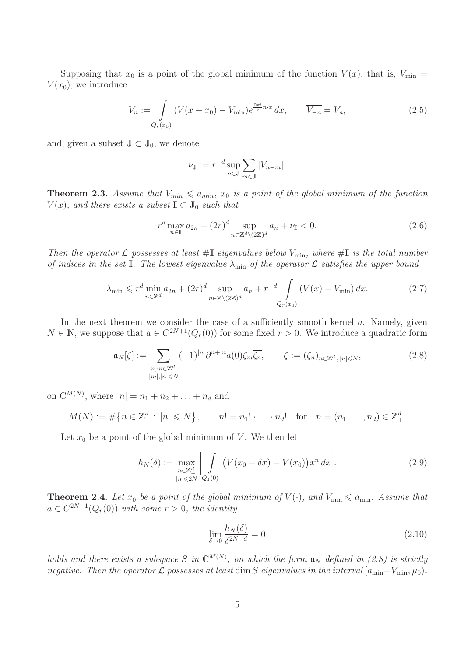Supposing that  $x_0$  is a point of the global minimum of the function  $V(x)$ , that is,  $V_{\min} =$  $V(x_0)$ , we introduce

$$
V_n := \int_{Q_r(x_0)} (V(x + x_0) - V_{\min}) e^{\frac{2\pi i}{r} n \cdot x} dx, \qquad \overline{V_{-n}} = V_n,
$$
\n(2.5)

and, given a subset  $\mathbb{J} \subset \mathbb{J}_0$ , we denote

$$
\nu_{\mathbb{J}} := r^{-d} \sup_{n \in \mathbb{J}} \sum_{m \in \mathbb{J}} |V_{n-m}|.
$$

**Theorem 2.3.** Assume that  $V_{min} \le a_{min}$ ,  $x_0$  is a point of the global minimum of the function  $V(x)$ *, and there exists a subset*  $\mathbb{I} \subset \mathbb{J}_0$  *such that* 

$$
r^{d} \max_{n \in \mathbb{I}} a_{2n} + (2r)^{d} \sup_{n \in \mathbb{Z}^{d} \setminus (2\mathbb{Z})^{d}} a_{n} + \nu_{\mathbb{I}} < 0. \tag{2.6}
$$

*Then the operator*  $\mathcal L$  *possesses at least* #I *eigenvalues below*  $V_{\text{min}}$ *, where* #I *is the total number of indices in the set* I*. The lowest eigenvalue*  $\lambda_{\min}$  *of the operator*  $\mathcal{L}$  *satisfies the upper bound* 

$$
\lambda_{\min} \leqslant r^d \min_{n \in \mathbb{Z}^d} a_{2n} + (2r)^d \sup_{n \in \mathbb{Z} \setminus (2\mathbb{Z})^d} a_n + r^{-d} \int_{Q_r(x_0)} (V(x) - V_{\min}) dx.
$$
 (2.7)

In the next theorem we consider the case of a sufficiently smooth kernel  $a$ . Namely, given  $N \in \mathbb{N}$ , we suppose that  $a \in C^{2N+1}(Q_r(0))$  for some fixed  $r > 0$ . We introduce a quadratic form

$$
\mathfrak{a}_N[\zeta] := \sum_{\substack{n,m \in \mathbb{Z}_+^d \\ |m|, |n| \le N}} (-1)^{|n|} \partial^{n+m} a(0) \zeta_m \overline{\zeta_n}, \qquad \zeta := (\zeta_n)_{n \in \mathbb{Z}_+^d, |n| \le N}, \tag{2.8}
$$

on  $\mathbb{C}^{M(N)}$ , where  $|n| = n_1 + n_2 + ... + n_d$  and

$$
M(N) := \# \{ n \in \mathbb{Z}_+^d : |n| \leq N \}, \qquad n! = n_1! \cdot \ldots \cdot n_d! \quad \text{for} \quad n = (n_1, \ldots, n_d) \in \mathbb{Z}_+^d.
$$

Let  $x_0$  be a point of the global minimum of V. We then let

$$
h_N(\delta) := \max_{\substack{n \in \mathbb{Z}_+^d \\ |n| \le 2N}} \left| \int\limits_{Q_1(0)} \left( V(x_0 + \delta x) - V(x_0) \right) x^n \, dx \right|.
$$
 (2.9)

**Theorem 2.4.** Let  $x_0$  be a point of the global minimum of  $V(\cdot)$ , and  $V_{\min} \leq a_{\min}$ . Assume that  $a \in C^{2N+1}(Q_r(0))$  with some  $r > 0$ , the identity

$$
\lim_{\delta \to 0} \frac{h_N(\delta)}{\delta^{2N+d}} = 0 \tag{2.10}
$$

*holds and there exists a subspace* S in  $\mathbb{C}^{M(N)}$ , on which the form  $\mathfrak{a}_N$  defined in (2.8) is strictly *negative. Then the operator*  $\mathcal L$  *possesses at least* dim S *eigenvalues in the interval*  $[a_{\min}+V_{\min}, \mu_0)$ *.*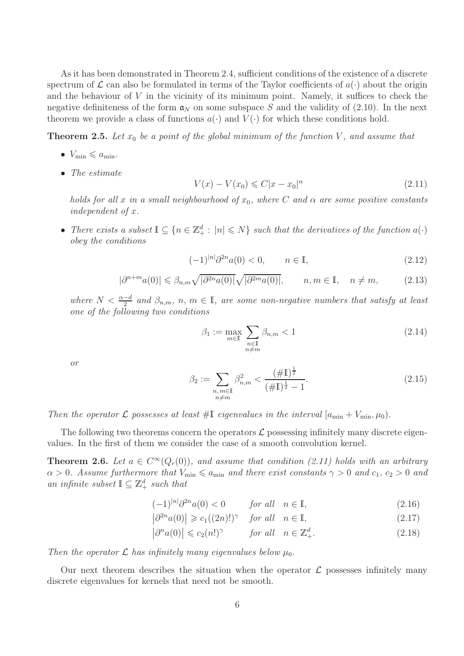As it has been demonstrated in Theorem 2.4, sufficient conditions of the existence of a discrete spectrum of  $\mathcal L$  can also be formulated in terms of the Taylor coefficients of  $a(\cdot)$  about the origin and the behaviour of  $V$  in the vicinity of its minimum point. Namely, it suffices to check the negative definiteness of the form  $a_N$  on some subspace S and the validity of (2.10). In the next theorem we provide a class of functions  $a(\cdot)$  and  $V(\cdot)$  for which these conditions hold.

**Theorem 2.5.** Let  $x_0$  be a point of the global minimum of the function V, and assume that

- $V_{\min} \leqslant a_{\min}$ .
- *The estimate*

$$
V(x) - V(x_0) \le C|x - x_0|^{\alpha}
$$
\n(2.11)

*holds for all* x *in a small neighbourhood of*  $x_0$ *, where* C and  $\alpha$  are some positive constants *independent of* x*.*

• *There exists a subset*  $\mathbb{I} \subseteq \{n \in \mathbb{Z}_+^d : |n| \leq N\}$  *such that the derivatives of the function*  $a(\cdot)$ *obey the conditions*

$$
(-1)^{|n|} \partial^{2n} a(0) < 0, \qquad n \in \mathbb{I}, \tag{2.12}
$$

$$
|\partial^{n+m}a(0)| \leq \beta_{n,m}\sqrt{|\partial^{2n}a(0)|}\sqrt{|\partial^{2m}a(0)|}, \qquad n, m \in \mathbb{I}, \quad n \neq m,
$$
 (2.13)

where  $N < \frac{\alpha - d}{2}$  and  $\beta_{n,m}$ ,  $n, m \in \mathbb{I}$ , are some non-negative numbers that satisfy at least *one of the following two conditions*

$$
\beta_1 := \max_{m \in \mathbb{I}} \sum_{\substack{n \in \mathbb{I} \\ n \neq m}} \beta_{n,m} < 1 \tag{2.14}
$$

*or*

$$
\beta_2 := \sum_{\substack{n,m \in \mathbb{I} \\ n \neq m}} \beta_{n,m}^2 < \frac{(\# \mathbb{I})^{\frac{1}{2}}}{(\# \mathbb{I})^{\frac{1}{2}} - 1}.\tag{2.15}
$$

*Then the operator*  $\mathcal{L}$  *possesses at least* #I *eigenvalues in the interval*  $[a_{\min} + V_{\min}, \mu_0)$ *.* 

The following two theorems concern the operators  $\mathcal L$  possessing infinitely many discrete eigenvalues. In the first of them we consider the case of a smooth convolution kernel.

**Theorem 2.6.** Let  $a \in C^{\infty}(Q_r(0))$ , and assume that condition (2.11) holds with an arbitrary  $\alpha > 0$ *. Assume furthermore that*  $V_{\text{min}} \le a_{\text{min}}$  *and there exist constants*  $\gamma > 0$  *and*  $c_1, c_2 > 0$  *and an infinite subset*  $\mathbb{I} \subseteq \mathbb{Z}_+^d$  *such that* 

$$
(-1)^{|n|}\partial^{2n}a(0) < 0 \qquad \text{for all} \quad n \in \mathbb{I},\tag{2.16}
$$

- $\left|\partial^{2n}a(0)\right| \geqslant c_1((2n)!)^{\gamma}$  *for all*  $n \in \mathbb{I}$ , (2.17)
- $|\partial^n a(0)| \leqslant c_2(n!)^{\gamma}$  *for all*  $n \in \mathbb{Z}_+^d$  $(2.18)$

*Then the operator*  $\mathcal{L}$  *has infinitely many eigenvalues below*  $\mu_0$ *.* 

Our next theorem describes the situation when the operator  $\mathcal L$  possesses infinitely many discrete eigenvalues for kernels that need not be smooth.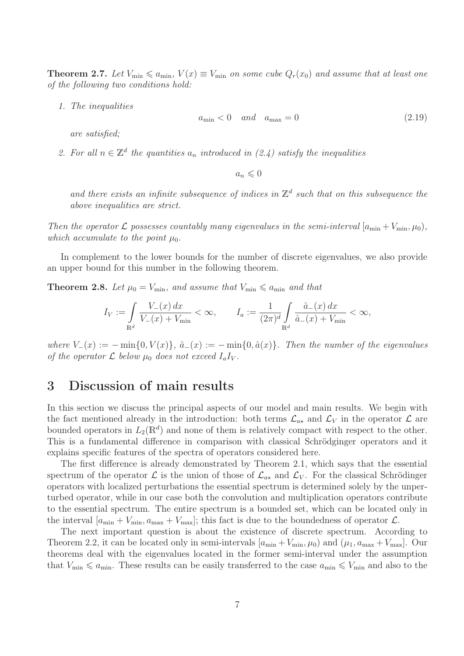**Theorem 2.7.** Let  $V_{\text{min}} \le a_{\text{min}}$ ,  $V(x) \equiv V_{\text{min}}$  on some cube  $Q_r(x_0)$  and assume that at least one *of the following two conditions hold:*

*1. The inequalities*

$$
a_{\min} < 0 \quad \text{and} \quad a_{\max} = 0 \tag{2.19}
$$

*are satisfied;*

2. For all  $n \in \mathbb{Z}^d$  the quantities  $a_n$  introduced in (2.4) satisfy the inequalities

 $a_n \leqslant 0$ 

and there exists an infinite subsequence of indices in  $\mathbb{Z}^d$  such that on this subsequence the *above inequalities are strict.*

*Then the operator*  $\mathcal{L}$  *possesses countably many eigenvalues in the semi-interval*  $[a_{\min} + V_{\min}, \mu_0)$ *, which accumulate to the point*  $\mu_0$ *.* 

In complement to the lower bounds for the number of discrete eigenvalues, we also provide an upper bound for this number in the following theorem.

**Theorem 2.8.** Let  $\mu_0 = V_{\text{min}}$ , and assume that  $V_{\text{min}} \le a_{\text{min}}$  and that

$$
I_V := \int_{\mathbb{R}^d} \frac{V_{-}(x) dx}{V_{-}(x) + V_{\min}} < \infty, \qquad I_a := \frac{1}{(2\pi)^d} \int_{\mathbb{R}^d} \frac{\hat{a}_{-}(x) dx}{\hat{a}_{-}(x) + V_{\min}} < \infty,
$$

*where*  $V_-(x) := -\min\{0, V(x)\}, \hat{a}_-(x) := -\min\{0, \hat{a}(x)\}.$  Then the number of the eigenvalues *of the operator*  $\mathcal L$  *below*  $\mu_0$  *does not exceed*  $I_aI_v$ .

### 3 Discussion of main results

In this section we discuss the principal aspects of our model and main results. We begin with the fact mentioned already in the introduction: both terms  $\mathcal{L}_{a\star}$  and  $\mathcal{L}_V$  in the operator  $\mathcal L$  are bounded operators in  $L_2(\mathbb{R}^d)$  and none of them is relatively compact with respect to the other. This is a fundamental difference in comparison with classical Schrödginger operators and it explains specific features of the spectra of operators considered here.

The first difference is already demonstrated by Theorem 2.1, which says that the essential spectrum of the operator  $\mathcal L$  is the union of those of  $\mathcal L_{a*}$  and  $\mathcal L_V$ . For the classical Schrödinger operators with localized perturbations the essential spectrum is determined solely by the unperturbed operator, while in our case both the convolution and multiplication operators contribute to the essential spectrum. The entire spectrum is a bounded set, which can be located only in the interval  $[a_{\min} + V_{\min}, a_{\max} + V_{\max}]$ ; this fact is due to the boundedness of operator  $\mathcal{L}$ .

The next important question is about the existence of discrete spectrum. According to Theorem 2.2, it can be located only in semi-intervals  $[a_{\min} + V_{\min}, \mu_0)$  and  $(\mu_1, a_{\max} + V_{\max}]$ . Our theorems deal with the eigenvalues located in the former semi-interval under the assumption that  $V_{\text{min}} \leq a_{\text{min}}$ . These results can be easily transferred to the case  $a_{\text{min}} \leq V_{\text{min}}$  and also to the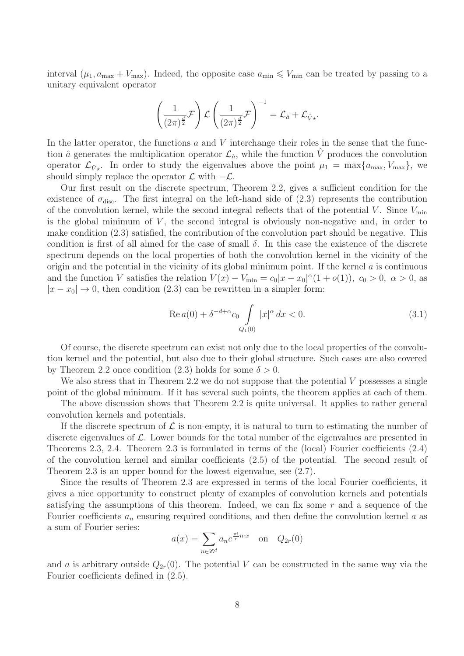interval  $(\mu_1, a_{\text{max}} + V_{\text{max}})$ . Indeed, the opposite case  $a_{\text{min}} \leq V_{\text{min}}$  can be treated by passing to a unitary equivalent operator

$$
\left(\frac{1}{(2\pi)^{\frac{d}{2}}}\mathcal{F}\right)\mathcal{L}\left(\frac{1}{(2\pi)^{\frac{d}{2}}}\mathcal{F}\right)^{-1}=\mathcal{L}_{\hat{a}}+\mathcal{L}_{\hat{V}\star}.
$$

In the latter operator, the functions  $a$  and  $V$  interchange their roles in the sense that the function  $\hat{a}$  generates the multiplication operator  $\mathcal{L}_{\hat{a}}$ , while the function  $\hat{V}$  produces the convolution operator  $\mathcal{L}_{\hat{V}_{+}}$ . In order to study the eigenvalues above the point  $\mu_1 = \max\{a_{\max}, V_{\max}\}\$ , we should simply replace the operator  $\mathcal L$  with  $-\mathcal L$ .

Our first result on the discrete spectrum, Theorem 2.2, gives a sufficient condition for the existence of  $\sigma_{disc}$ . The first integral on the left-hand side of (2.3) represents the contribution of the convolution kernel, while the second integral reflects that of the potential V. Since  $V_{\text{min}}$ is the global minimum of  $V$ , the second integral is obviously non-negative and, in order to make condition (2.3) satisfied, the contribution of the convolution part should be negative. This condition is first of all aimed for the case of small  $\delta$ . In this case the existence of the discrete spectrum depends on the local properties of both the convolution kernel in the vicinity of the origin and the potential in the vicinity of its global minimum point. If the kernel  $\alpha$  is continuous and the function V satisfies the relation  $V(x) - V_{\text{min}} = c_0 |x - x_0|^{\alpha} (1 + o(1)), c_0 > 0, \alpha > 0$ , as  $|x-x_0|\to 0$ , then condition (2.3) can be rewritten in a simpler form:

$$
\operatorname{Re} a(0) + \delta^{-d+\alpha} c_0 \int\limits_{Q_1(0)} |x|^\alpha dx < 0. \tag{3.1}
$$

Of course, the discrete spectrum can exist not only due to the local properties of the convolution kernel and the potential, but also due to their global structure. Such cases are also covered by Theorem 2.2 once condition (2.3) holds for some  $\delta > 0$ .

We also stress that in Theorem 2.2 we do not suppose that the potential  $V$  possesses a single point of the global minimum. If it has several such points, the theorem applies at each of them.

The above discussion shows that Theorem 2.2 is quite universal. It applies to rather general convolution kernels and potentials.

If the discrete spectrum of  $\mathcal L$  is non-empty, it is natural to turn to estimating the number of discrete eigenvalues of  $\mathcal{L}$ . Lower bounds for the total number of the eigenvalues are presented in Theorems 2.3, 2.4. Theorem 2.3 is formulated in terms of the (local) Fourier coefficients (2.4) of the convolution kernel and similar coefficients (2.5) of the potential. The second result of Theorem 2.3 is an upper bound for the lowest eigenvalue, see (2.7).

Since the results of Theorem 2.3 are expressed in terms of the local Fourier coefficients, it gives a nice opportunity to construct plenty of examples of convolution kernels and potentials satisfying the assumptions of this theorem. Indeed, we can fix some  $r$  and a sequence of the Fourier coefficients  $a_n$  ensuring required conditions, and then define the convolution kernel a as a sum of Fourier series:

$$
a(x) = \sum_{n \in \mathbb{Z}^d} a_n e^{\frac{\pi i}{r} n \cdot x} \quad \text{on} \quad Q_{2r}(0)
$$

and a is arbitrary outside  $Q_{2r}(0)$ . The potential V can be constructed in the same way via the Fourier coefficients defined in (2.5).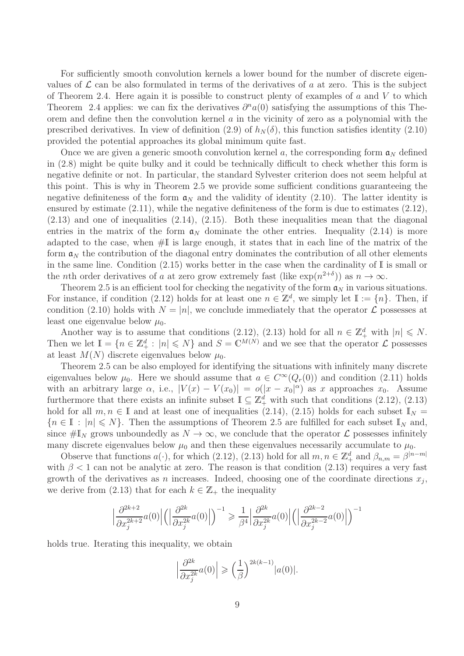For sufficiently smooth convolution kernels a lower bound for the number of discrete eigenvalues of  $\mathcal L$  can be also formulated in terms of the derivatives of a at zero. This is the subject of Theorem 2.4. Here again it is possible to construct plenty of examples of  $a$  and  $V$  to which Theorem 2.4 applies: we can fix the derivatives  $\partial^n a(0)$  satisfying the assumptions of this Theorem and define then the convolution kernel  $\alpha$  in the vicinity of zero as a polynomial with the prescribed derivatives. In view of definition (2.9) of  $h_N(\delta)$ , this function satisfies identity (2.10) provided the potential approaches its global minimum quite fast.

Once we are given a generic smooth convolution kernel a, the corresponding form  $\mathfrak{a}_N$  defined in (2.8) might be quite bulky and it could be technically difficult to check whether this form is negative definite or not. In particular, the standard Sylvester criterion does not seem helpful at this point. This is why in Theorem 2.5 we provide some sufficient conditions guaranteeing the negative definiteness of the form  $a_N$  and the validity of identity (2.10). The latter identity is ensured by estimate  $(2.11)$ , while the negative definiteness of the form is due to estimates  $(2.12)$ ,  $(2.13)$  and one of inequalities  $(2.14)$ ,  $(2.15)$ . Both these inequalities mean that the diagonal entries in the matrix of the form  $a_N$  dominate the other entries. Inequality (2.14) is more adapted to the case, when  $\#\mathbb{I}$  is large enough, it states that in each line of the matrix of the form  $a_N$  the contribution of the diagonal entry dominates the contribution of all other elements in the same line. Condition  $(2.15)$  works better in the case when the cardinality of I is small or the *n*th order derivatives of a at zero grow extremely fast (like  $\exp(n^{2+\delta})$ ) as  $n \to \infty$ .

Theorem 2.5 is an efficient tool for checking the negativity of the form  $a<sub>N</sub>$  in various situations. For instance, if condition (2.12) holds for at least one  $n \in \mathbb{Z}^d$ , we simply let  $\mathbb{I} := \{n\}$ . Then, if condition (2.10) holds with  $N = |n|$ , we conclude immediately that the operator  $\mathcal L$  possesses at least one eigenvalue below  $\mu_0$ .

Another way is to assume that conditions (2.12), (2.13) hold for all  $n \in \mathbb{Z}_+^d$  with  $|n| \le N$ . Then we let  $\mathbb{I} = \{n \in \mathbb{Z}_+^d : |n| \leq N\}$  and  $S = \mathbb{C}^{M(N)}$  and we see that the operator  $\mathcal{L}$  possesses at least  $M(N)$  discrete eigenvalues below  $\mu_0$ .

Theorem 2.5 can be also employed for identifying the situations with infinitely many discrete eigenvalues below  $\mu_0$ . Here we should assume that  $a \in C^{\infty}(Q_r(0))$  and condition (2.11) holds with an arbitrary large  $\alpha$ , i.e.,  $|V(x) - V(x_0)| = o(|x - x_0|^{\alpha})$  as x approaches  $x_0$ . Assume furthermore that there exists an infinite subset  $\mathbb{I} \subseteq \mathbb{Z}_+^d$  with such that conditions (2.12), (2.13) hold for all  $m, n \in \mathbb{I}$  and at least one of inequalities (2.14), (2.15) holds for each subset  $\mathbb{I}_N =$  ${n \in I : |n| \leq N}$ . Then the assumptions of Theorem 2.5 are fulfilled for each subset  $I_N$  and, since  $\#\mathbb{I}_N$  grows unboundedly as  $N \to \infty$ , we conclude that the operator  $\mathcal L$  possesses infinitely many discrete eigenvalues below  $\mu_0$  and then these eigenvalues necessarily accumulate to  $\mu_0$ .

Observe that functions  $a(\cdot)$ , for which (2.12), (2.13) hold for all  $m, n \in \mathbb{Z}_+^d$  and  $\beta_{n,m} = \beta^{|n-m|}$ with  $\beta$  < 1 can not be analytic at zero. The reason is that condition (2.13) requires a very fast growth of the derivatives as n increases. Indeed, choosing one of the coordinate directions  $x_j$ , we derive from (2.13) that for each  $k \in \mathbb{Z}_+$  the inequality

$$
\left|\frac{\partial^{2k+2}}{\partial x_j^{2k+2}}a(0)\right|\left(\left|\frac{\partial^{2k}}{\partial x_j^{2k}}a(0)\right|\right)^{-1}\geqslant \frac{1}{\beta^4}\left|\frac{\partial^{2k}}{\partial x_j^{2k}}a(0)\right|\left(\left|\frac{\partial^{2k-2}}{\partial x_j^{2k-2}}a(0)\right|\right)^{-1}
$$

holds true. Iterating this inequality, we obtain

$$
\left|\frac{\partial^{2k}}{\partial x_j^{2k}}a(0)\right| \geqslant \left(\frac{1}{\beta}\right)^{2k(k-1)}|a(0)|.
$$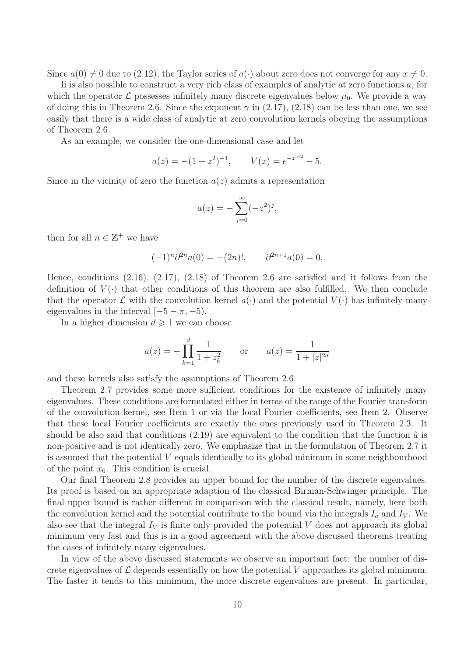Since  $a(0) \neq 0$  due to (2.12), the Taylor series of  $a(\cdot)$  about zero does not converge for any  $x \neq 0$ .

Ii is also possible to construct a very rich class of examples of analytic at zero functions a, for which the operator  $\mathcal L$  possesses infinitely many discrete eigenvalues below  $\mu_0$ . We provide a way of doing this in Theorem 2.6. Since the exponent  $\gamma$  in (2.17), (2.18) can be less than one, we see easily that there is a wide class of analytic at zero convolution kernels obeying the assumptions of Theorem 2.6.

As an example, we consider the one-dimensional case and let

$$
a(z) = -(1 + z2)-1
$$
,  $V(x) = e-x-2 - 5$ .

Since in the vicinity of zero the function  $a(z)$  admits a representation

$$
a(z) = -\sum_{j=0}^{\infty} (-z^2)^j,
$$

then for all  $n \in \mathbb{Z}^+$  we have

$$
(-1)^n \partial^{2n} a(0) = -(2n)!, \qquad \partial^{2n+1} a(0) = 0.
$$

Hence, conditions  $(2.16)$ ,  $(2.17)$ ,  $(2.18)$  of Theorem 2.6 are satisfied and it follows from the definition of  $V(\cdot)$  that other conditions of this theorem are also fulfilled. We then conclude that the operator  $\mathcal L$  with the convolution kernel  $a(\cdot)$  and the potential  $V(\cdot)$  has infinitely many eigenvalues in the interval  $[-5 - \pi, -5]$ .

In a higher dimension  $d \geq 1$  we can choose

$$
a(z) = -\prod_{k=1}^{d} \frac{1}{1 + z_k^2}
$$
 or  $a(z) = \frac{1}{1 + |z|^{2d}}$ 

and these kernels also satisfy the assumptions of Theorem 2.6.

Theorem 2.7 provides some more sufficient conditions for the existence of infinitely many eigenvalues. These conditions are formulated either in terms of the range of the Fourier transform of the convolution kernel, see Item 1 or via the local Fourier coefficients, see Item 2. Observe that these local Fourier coefficients are exactly the ones previously used in Theorem 2.3. It should be also said that conditions  $(2.19)$  are equivalent to the condition that the function  $\hat{a}$  is non-positive and is not identically zero. We emphasize that in the formulation of Theorem 2.7 it is assumed that the potential  $V$  equals identically to its global minimum in some neighbourhood of the point  $x_0$ . This condition is crucial.

Our final Theorem 2.8 provides an upper bound for the number of the discrete eigenvalues. Its proof is based on an appropriate adaption of the classical Birman-Schwinger principle. The final upper bound is rather different in comparison with the classical result, namely, here both the convolution kernel and the potential contribute to the bound via the integrals  $I_a$  and  $I_V$ . We also see that the integral  $I_V$  is finite only provided the potential V does not approach its global minimum very fast and this is in a good agreement with the above discussed theorems treating the cases of infinitely many eigenvalues.

In view of the above discussed statements we observe an important fact: the number of discrete eigenvalues of  $\mathcal L$  depends essentially on how the potential V approaches its global minimum. The faster it tends to this minimum, the more discrete eigenvalues are present. In particular,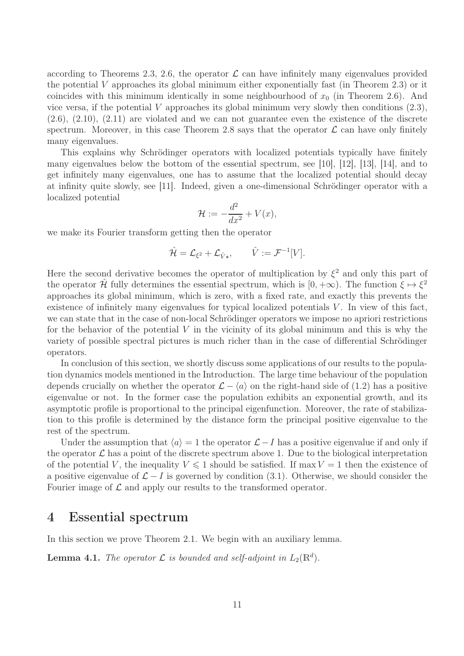according to Theorems 2.3, 2.6, the operator  $\mathcal L$  can have infinitely many eigenvalues provided the potential V approaches its global minimum either exponentially fast (in Theorem 2.3) or it coincides with this minimum identically in some neighbourhood of  $x_0$  (in Theorem 2.6). And vice versa, if the potential V approaches its global minimum very slowly then conditions  $(2.3)$ ,  $(2.6), (2.10), (2.11)$  are violated and we can not guarantee even the existence of the discrete spectrum. Moreover, in this case Theorem 2.8 says that the operator  $\mathcal L$  can have only finitely many eigenvalues.

This explains why Schrödinger operators with localized potentials typically have finitely many eigenvalues below the bottom of the essential spectrum, see [10], [12], [13], [14], and to get infinitely many eigenvalues, one has to assume that the localized potential should decay at infinity quite slowly, see  $|11|$ . Indeed, given a one-dimensional Schrödinger operator with a localized potential

$$
\mathcal{H} := -\frac{d^2}{dx^2} + V(x),
$$

we make its Fourier transform getting then the operator

$$
\hat{\mathcal{H}} = \mathcal{L}_{\xi^2} + \mathcal{L}_{\hat{V}\star}, \qquad \hat{V} := \mathcal{F}^{-1}[V].
$$

Here the second derivative becomes the operator of multiplication by  $\xi^2$  and only this part of the operator  $\hat{\mathcal{H}}$  fully determines the essential spectrum, which is  $[0, +\infty)$ . The function  $\xi \mapsto \xi^2$ approaches its global minimum, which is zero, with a fixed rate, and exactly this prevents the existence of infinitely many eigenvalues for typical localized potentials  $V$ . In view of this fact, we can state that in the case of non-local Schrödinger operators we impose no apriori restrictions for the behavior of the potential  $V$  in the vicinity of its global minimum and this is why the variety of possible spectral pictures is much richer than in the case of differential Schrödinger operators.

In conclusion of this section, we shortly discuss some applications of our results to the population dynamics models mentioned in the Introduction. The large time behaviour of the population depends crucially on whether the operator  $\mathcal{L} - \langle a \rangle$  on the right-hand side of (1.2) has a positive eigenvalue or not. In the former case the population exhibits an exponential growth, and its asymptotic profile is proportional to the principal eigenfunction. Moreover, the rate of stabilization to this profile is determined by the distance form the principal positive eigenvalue to the rest of the spectrum.

Under the assumption that  $\langle a \rangle = 1$  the operator  $\mathcal{L} - I$  has a positive eigenvalue if and only if the operator  $\mathcal L$  has a point of the discrete spectrum above 1. Due to the biological interpretation of the potential V, the inequality  $V \leq 1$  should be satisfied. If max  $V = 1$  then the existence of a positive eigenvalue of  $\mathcal{L} - I$  is governed by condition (3.1). Otherwise, we should consider the Fourier image of  $\mathcal L$  and apply our results to the transformed operator.

# 4 Essential spectrum

In this section we prove Theorem 2.1. We begin with an auxiliary lemma.

**Lemma 4.1.** *The operator*  $\mathcal{L}$  *is bounded and self-adjoint in*  $L_2(\mathbb{R}^d)$ *.*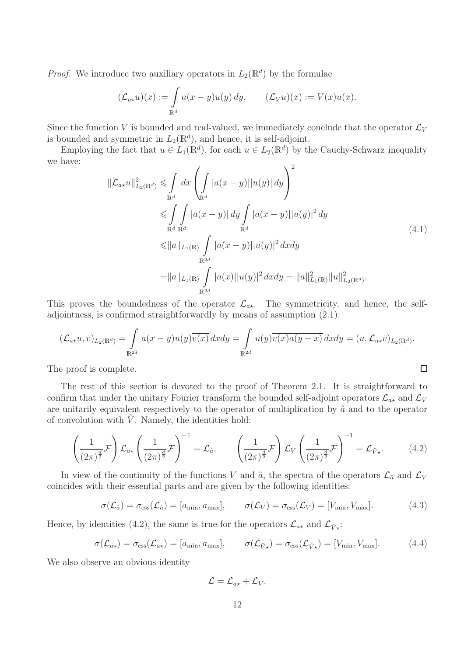*Proof.* We introduce two auxiliary operators in  $L_2(\mathbb{R}^d)$  by the formulae

$$
(\mathcal{L}_{a\star}u)(x) := \int_{\mathbb{R}^d} a(x-y)u(y) dy, \qquad (\mathcal{L}_V u)(x) := V(x)u(x).
$$

Since the function V is bounded and real-valued, we immediately conclude that the operator  $\mathcal{L}_V$ is bounded and symmetric in  $L_2(\mathbb{R}^d)$ , and hence, it is self-adjoint.

Employing the fact that  $u \in L_1(\mathbb{R}^d)$ , for each  $u \in L_2(\mathbb{R}^d)$  by the Cauchy-Schwarz inequality we have:  $\sqrt{2}$ 

$$
\|\mathcal{L}_{a\star}u\|_{L_2(\mathbb{R}^d)}^2 \leqslant \int_{\mathbb{R}^d} dx \left( \int_{\mathbb{R}^d} |a(x-y)| |u(y)| dy \right)^2
$$
  
\n
$$
\leqslant \int_{\mathbb{R}^d} \int_{\mathbb{R}^d} |a(x-y)| dy \int_{\mathbb{R}^d} |a(x-y)| |u(y)|^2 dy
$$
  
\n
$$
\leqslant \|a\|_{L_1(\mathbb{R})} \int_{\mathbb{R}^{2d}} |a(x-y)| |u(y)|^2 dx dy
$$
  
\n
$$
= \|a\|_{L_1(\mathbb{R})} \int_{\mathbb{R}^{2d}} |a(x)| |u(y)|^2 dx dy = \|a\|_{L_1(\mathbb{R})}^2 \|u\|_{L_2(\mathbb{R}^d)}^2.
$$
\n(4.1)

 $\Box$ 

This proves the boundedness of the operator  $\mathcal{L}_{a\star}$ . The symmetricity, and hence, the selfadjointness, is confirmed straightforwardly by means of assumption (2.1):

$$
(\mathcal{L}_{a\star}u,v)_{L_2(\mathbb{R}^d)} = \int_{\mathbb{R}^{2d}} a(x-y)u(y)\overline{v(x)} dx dy = \int_{\mathbb{R}^{2d}} u(y)\overline{v(x)a(y-x)} dx dy = (u, \mathcal{L}_{a\star}v)_{L_2(\mathbb{R}^d)}.
$$

The proof is complete.

The rest of this section is devoted to the proof of Theorem 2.1. It is straightforward to confirm that under the unitary Fourier transform the bounded self-adjoint operators  $\mathcal{L}_{a\star}$  and  $\mathcal{L}_V$ are unitarily equivalent respectively to the operator of multiplication by  $\hat{a}$  and to the operator of convolution with  $\hat{V}$ . Namely, the identities hold:

$$
\left(\frac{1}{(2\pi)^{\frac{d}{2}}}\mathcal{F}\right)\mathcal{L}_{a\star}\left(\frac{1}{(2\pi)^{\frac{d}{2}}}\mathcal{F}\right)^{-1} = \mathcal{L}_{\hat{a}}, \qquad \left(\frac{1}{(2\pi)^{\frac{d}{2}}}\mathcal{F}\right)\mathcal{L}_{V}\left(\frac{1}{(2\pi)^{\frac{d}{2}}}\mathcal{F}\right)^{-1} = \mathcal{L}_{\hat{V}\star}.
$$
 (4.2)

In view of the continuity of the functions V and  $\hat{a}$ , the spectra of the operators  $\mathcal{L}_{\hat{a}}$  and  $\mathcal{L}_V$ coincides with their essential parts and are given by the following identities:

$$
\sigma(\mathcal{L}_{\hat{a}}) = \sigma_{\text{ess}}(\mathcal{L}_{\hat{a}}) = [a_{\min}, a_{\max}], \qquad \sigma(\mathcal{L}_V) = \sigma_{\text{ess}}(\mathcal{L}_V) = [V_{\min}, V_{\max}]. \tag{4.3}
$$

Hence, by identities (4.2), the same is true for the operators  $\mathcal{L}_{a\star}$  and  $\mathcal{L}_{\hat{V}\star}$ :

$$
\sigma(\mathcal{L}_{a\star}) = \sigma_{\rm ess}(\mathcal{L}_{a\star}) = [a_{\rm min}, a_{\rm max}], \qquad \sigma(\mathcal{L}_{\hat{V}\star}) = \sigma_{\rm ess}(\mathcal{L}_{\hat{V}\star}) = [V_{\rm min}, V_{\rm max}]. \tag{4.4}
$$

We also observe an obvious identity

$$
\mathcal{L}=\mathcal{L}_{a\star}+\mathcal{L}_V.
$$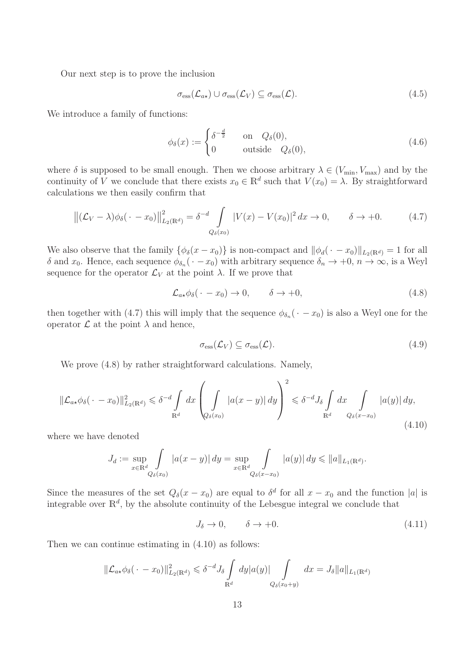Our next step is to prove the inclusion

$$
\sigma_{\rm ess}(\mathcal{L}_{a\star}) \cup \sigma_{\rm ess}(\mathcal{L}_V) \subseteq \sigma_{\rm ess}(\mathcal{L}). \tag{4.5}
$$

We introduce a family of functions:

$$
\phi_{\delta}(x) := \begin{cases} \delta^{-\frac{d}{2}} & \text{on } Q_{\delta}(0), \\ 0 & \text{outside } Q_{\delta}(0), \end{cases}
$$
 (4.6)

where  $\delta$  is supposed to be small enough. Then we choose arbitrary  $\lambda \in (V_{\min}, V_{\max})$  and by the continuity of V we conclude that there exists  $x_0 \in \mathbb{R}^d$  such that  $V(x_0) = \lambda$ . By straightforward calculations we then easily confirm that

$$
\left\| (\mathcal{L}_V - \lambda) \phi_\delta(\cdot - x_0) \right\|_{L_2(\mathbb{R}^d)}^2 = \delta^{-d} \int_{Q_\delta(x_0)} |V(x) - V(x_0)|^2 dx \to 0, \qquad \delta \to +0. \tag{4.7}
$$

We also observe that the family  $\{\phi_{\delta}(x-x_0)\}\)$  is non-compact and  $\|\phi_d(\cdot-x_0)\|_{L_2(\mathbb{R}^d)}=1$  for all δ and  $x_0$ . Hence, each sequence  $\phi_{\delta_n}(\cdot - x_0)$  with arbitrary sequence  $\delta_n \to +0, n \to \infty$ , is a Weyl sequence for the operator  $\mathcal{L}_V$  at the point  $\lambda$ . If we prove that

$$
\mathcal{L}_{a\star}\phi_{\delta}(\cdot - x_0) \to 0, \qquad \delta \to +0, \tag{4.8}
$$

then together with (4.7) this will imply that the sequence  $\phi_{\delta_n}(\cdot - x_0)$  is also a Weyl one for the operator  $\mathcal L$  at the point  $\lambda$  and hence,

$$
\sigma_{\rm ess}(\mathcal{L}_V) \subseteq \sigma_{\rm ess}(\mathcal{L}).\tag{4.9}
$$

We prove  $(4.8)$  by rather straightforward calculations. Namely,

$$
\|\mathcal{L}_{a\star}\phi_{\delta}(\cdot - x_0)\|_{L_2(\mathbb{R}^d)}^2 \leq \delta^{-d} \int_{\mathbb{R}^d} dx \left( \int_{Q_{\delta}(x_0)} |a(x - y)| dy \right)^2 \leq \delta^{-d} J_{\delta} \int_{\mathbb{R}^d} dx \int_{Q_{\delta}(x - x_0)} |a(y)| dy,
$$
\n(4.10)

where we have denoted

$$
J_d := \sup_{x \in \mathbb{R}^d \atop Q_\delta(x_0)} \int_{a(x-y)} |a(x-y)| dy = \sup_{x \in \mathbb{R}^d \atop Q_\delta(x-x_0)} \int_{a(y)| dy \leq ||a||_{L_1(\mathbb{R}^d)}.
$$

Since the measures of the set  $Q_{\delta}(x-x_0)$  are equal to  $\delta^d$  for all  $x-x_0$  and the function |a| is integrable over  $\mathbb{R}^d$ , by the absolute continuity of the Lebesgue integral we conclude that

$$
J_{\delta} \to 0, \qquad \delta \to +0. \tag{4.11}
$$

Then we can continue estimating in (4.10) as follows:

$$
\|\mathcal{L}_{a\star}\phi_{\delta}(\cdot - x_0)\|_{L_2(\mathbb{R}^d)}^2 \leq \delta^{-d} J_{\delta} \int_{\mathbb{R}^d} dy |a(y)| \int_{Q_{\delta}(x_0+y)} dx = J_{\delta} ||a||_{L_1(\mathbb{R}^d)}
$$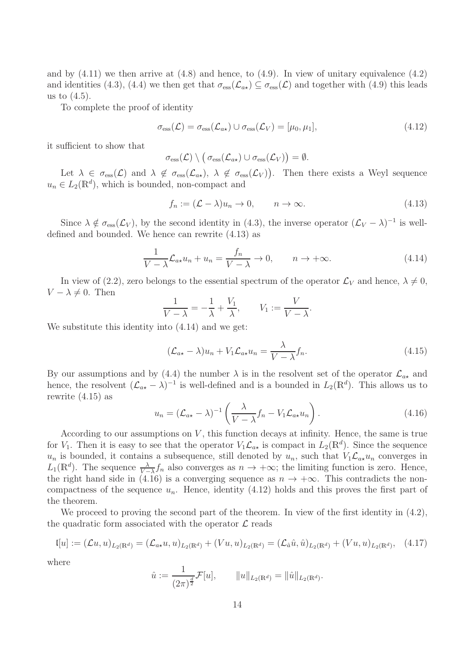and by  $(4.11)$  we then arrive at  $(4.8)$  and hence, to  $(4.9)$ . In view of unitary equivalence  $(4.2)$ and identities (4.3), (4.4) we then get that  $\sigma_{\rm ess}(\mathcal{L}_{a*}) \subseteq \sigma_{\rm ess}(\mathcal{L})$  and together with (4.9) this leads us to  $(4.5)$ .

To complete the proof of identity

$$
\sigma_{\rm ess}(\mathcal{L}) = \sigma_{\rm ess}(\mathcal{L}_{a\star}) \cup \sigma_{\rm ess}(\mathcal{L}_V) = [\mu_0, \mu_1],\tag{4.12}
$$

it sufficient to show that

$$
\sigma_{\rm ess}(\mathcal{L}) \setminus (\sigma_{\rm ess}(\mathcal{L}_{a\star}) \cup \sigma_{\rm ess}(\mathcal{L}_V)) = \emptyset.
$$

Let  $\lambda \in \sigma_{\text{ess}}(\mathcal{L})$  and  $\lambda \notin \sigma_{\text{ess}}(\mathcal{L}_{a\star}), \lambda \notin \sigma_{\text{ess}}(\mathcal{L}_V)$ . Then there exists a Weyl sequence  $u_n \in L_2(\mathbb{R}^d)$ , which is bounded, non-compact and

$$
f_n := (\mathcal{L} - \lambda)u_n \to 0, \qquad n \to \infty.
$$
 (4.13)

Since  $\lambda \notin \sigma_{\text{ess}}(\mathcal{L}_V)$ , by the second identity in (4.3), the inverse operator  $(\mathcal{L}_V - \lambda)^{-1}$  is welldefined and bounded. We hence can rewrite (4.13) as

$$
\frac{1}{V - \lambda} \mathcal{L}_{a\star} u_n + u_n = \frac{f_n}{V - \lambda} \to 0, \qquad n \to +\infty.
$$
 (4.14)

In view of (2.2), zero belongs to the essential spectrum of the operator  $\mathcal{L}_V$  and hence,  $\lambda \neq 0$ ,  $V - \lambda \neq 0$ . Then

$$
\frac{1}{V - \lambda} = -\frac{1}{\lambda} + \frac{V_1}{\lambda}, \qquad V_1 := \frac{V}{V - \lambda}.
$$

We substitute this identity into (4.14) and we get:

$$
(\mathcal{L}_{a\star} - \lambda)u_n + V_1 \mathcal{L}_{a\star} u_n = \frac{\lambda}{V - \lambda} f_n.
$$
\n(4.15)

By our assumptions and by (4.4) the number  $\lambda$  is in the resolvent set of the operator  $\mathcal{L}_{a\star}$  and hence, the resolvent  $(\mathcal{L}_{a*} - \lambda)^{-1}$  is well-defined and is a bounded in  $L_2(\mathbb{R}^d)$ . This allows us to rewrite (4.15) as

$$
u_n = (\mathcal{L}_{a\star} - \lambda)^{-1} \left( \frac{\lambda}{V - \lambda} f_n - V_1 \mathcal{L}_{a\star} u_n \right).
$$
 (4.16)

According to our assumptions on  $V$ , this function decays at infinity. Hence, the same is true for  $V_1$ . Then it is easy to see that the operator  $V_1\mathcal{L}_{a*}$  is compact in  $L_2(\mathbb{R}^d)$ . Since the sequence  $u_n$  is bounded, it contains a subsequence, still denoted by  $u_n$ , such that  $V_1\mathcal{L}_{a*}u_n$  converges in  $L_1(\mathbb{R}^d)$ . The sequence  $\frac{\lambda}{\gamma-\lambda}f_n$  also converges as  $n \to +\infty$ ; the limiting function is zero. Hence, the right hand side in (4.16) is a converging sequence as  $n \to +\infty$ . This contradicts the noncompactness of the sequence  $u_n$ . Hence, identity (4.12) holds and this proves the first part of the theorem.

We proceed to proving the second part of the theorem. In view of the first identity in  $(4.2)$ , the quadratic form associated with the operator  $\mathcal L$  reads

$$
\mathfrak{l}[u] := (\mathcal{L}u, u)_{L_2(\mathbb{R}^d)} = (\mathcal{L}_{a*}u, u)_{L_2(\mathbb{R}^d)} + (Vu, u)_{L_2(\mathbb{R}^d)} = (\mathcal{L}_{\hat{a}}\hat{u}, \hat{u})_{L_2(\mathbb{R}^d)} + (Vu, u)_{L_2(\mathbb{R}^d)}, \quad (4.17)
$$

where

$$
\hat{u} := \frac{1}{(2\pi)^{\frac{d}{2}}}\mathcal{F}[u], \qquad \|u\|_{L_2(\mathbb{R}^d)} = \|\hat{u}\|_{L_2(\mathbb{R}^d)}.
$$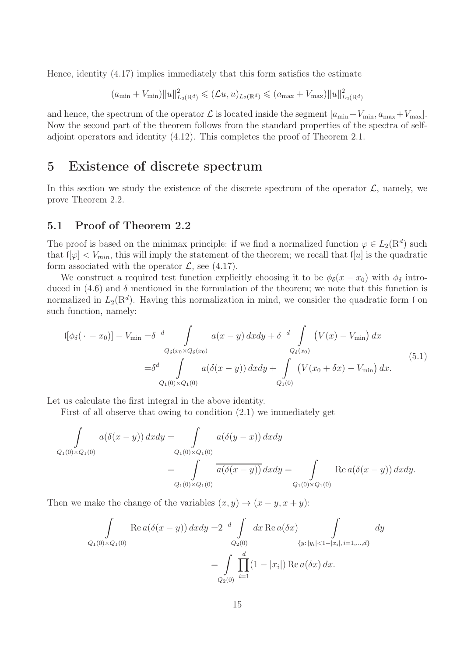Hence, identity (4.17) implies immediately that this form satisfies the estimate

$$
(a_{\min} + V_{\min}) \|u\|_{L_2(\mathbb{R}^d)}^2 \leq (Lu, u)_{L_2(\mathbb{R}^d)} \leq (a_{\max} + V_{\max}) \|u\|_{L_2(\mathbb{R}^d)}^2
$$

and hence, the spectrum of the operator  $\mathcal L$  is located inside the segment  $[a_{\min}+V_{\min}, a_{\max}+V_{\max}]$ . Now the second part of the theorem follows from the standard properties of the spectra of selfadjoint operators and identity (4.12). This completes the proof of Theorem 2.1.

### 5 Existence of discrete spectrum

In this section we study the existence of the discrete spectrum of the operator  $\mathcal{L}$ , namely, we prove Theorem 2.2.

#### 5.1 Proof of Theorem 2.2

The proof is based on the minimax principle: if we find a normalized function  $\varphi \in L_2(\mathbb{R}^d)$  such that  $\mathfrak{t}[\varphi] < V_{min}$ , this will imply the statement of the theorem; we recall that  $\mathfrak{t}[u]$  is the quadratic form associated with the operator  $\mathcal{L}$ , see (4.17).

We construct a required test function explicitly choosing it to be  $\phi_{\delta}(x-x_0)$  with  $\phi_{\delta}$  introduced in (4.6) and  $\delta$  mentioned in the formulation of the theorem; we note that this function is normalized in  $L_2(\mathbb{R}^d)$ . Having this normalization in mind, we consider the quadratic form l on such function, namely:

$$
[[\phi_{\delta}(\cdot - x_0)] - V_{\min} = \delta^{-d} \int_{Q_{\delta}(x_0 \times Q_{\delta}(x_0))} a(x - y) dx dy + \delta^{-d} \int_{Q_{\delta}(x_0)} (V(x) - V_{\min}) dx
$$
  

$$
= \delta^d \int_{Q_1(0) \times Q_1(0)} a(\delta(x - y)) dx dy + \int_{Q_1(0)} (V(x_0 + \delta x) - V_{\min}) dx.
$$
 (5.1)

Let us calculate the first integral in the above identity.

First of all observe that owing to condition (2.1) we immediately get

$$
\int_{Q_1(0)\times Q_1(0)} a(\delta(x-y)) \, dxdy = \int_{Q_1(0)\times Q_1(0)} a(\delta(y-x)) \, dxdy
$$
\n
$$
= \int_{Q_1(0)\times Q_1(0)} \overline{a(\delta(x-y))} \, dxdy = \int_{Q_1(0)\times Q_1(0)} \text{Re } a(\delta(x-y)) \, dxdy.
$$

Then we make the change of the variables  $(x, y) \rightarrow (x - y, x + y)$ :

$$
\int_{Q_1(0)\times Q_1(0)} \text{Re } a(\delta(x-y)) \, dxdy = 2^{-d} \int_{Q_2(0)} dx \, \text{Re } a(\delta x) \int_{\{y:\, |y_i| < 1-|x_i|, \, i=1,\dots,d\}} dy
$$
\n
$$
= \int_{Q_2(0)} \prod_{i=1}^d (1-|x_i|) \, \text{Re } a(\delta x) \, dx.
$$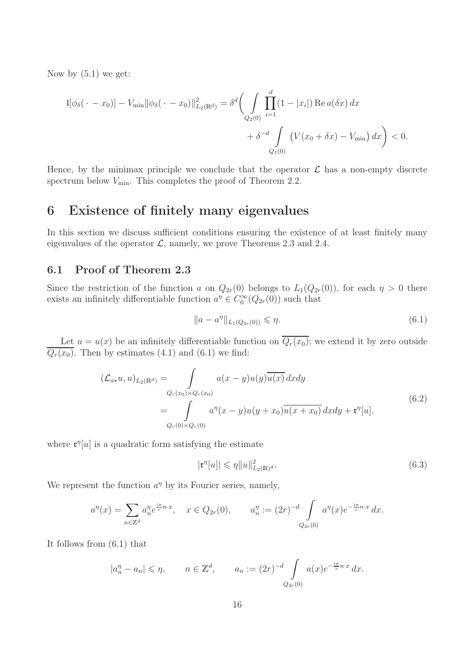Now by (5.1) we get:

$$
\mathfrak{l}[\phi_{\delta}(\cdot - x_0)] - V_{\min} ||\phi_{\delta}(\cdot - x_0)||_{L_2(\mathbb{R}^d)}^2 = \delta^d \bigg( \int_{Q_2(0)} \prod_{i=1}^d (1 - |x_i|) \operatorname{Re} a(\delta x) dx + \delta^{-d} \int_{Q_1(0)} \big( V(x_0 + \delta x) - V_{\min} \big) dx \bigg) < 0.
$$

Hence, by the minimax principle we conclude that the operator  $\mathcal L$  has a non-empty discrete spectrum below  $V_{\text{min}}$ . This completes the proof of Theorem 2.2.

# 6 Existence of finitely many eigenvalues

In this section we discuss sufficient conditions ensuring the existence of at least finitely many eigenvalues of the operator  $\mathcal{L}$ , namely, we prove Theorems 2.3 and 2.4.

#### 6.1 Proof of Theorem 2.3

Since the restriction of the function a on  $Q_{2r}(0)$  belongs to  $L_1(Q_{2r}(0))$ , for each  $\eta > 0$  there exists an infinitely differentiable function  $a^{\eta} \in C_0^{\infty}(Q_{2r}(0))$  such that

$$
||a - a^{\eta}||_{L_1(Q_{2r}(0))} \le \eta.
$$
\n(6.1)

Let  $u = u(x)$  be an infinitely differentiable function on  $\overline{Q_r(x_0)}$ ; we extend it by zero outside  $\overline{Q_r(x_0)}$ . Then by estimates (4.1) and (6.1) we find:

$$
(\mathcal{L}_{a\star}u, u)_{L_2(\mathbb{R}^d)} = \int_{Q_r(x_0)\times Q_r(x_0)} a(x-y)u(y)\overline{u(x)} dx dy
$$
  
= 
$$
\int_{Q_r(0)\times Q_r(0)} a^{\eta}(x-y)u(y+x_0)\overline{u(x+x_0)} dx dy + \mathfrak{r}^{\eta}[u],
$$
 (6.2)

where  $\mathfrak{r}^{\eta}[u]$  is a quadratic form satisfying the estimate

$$
|\mathfrak{r}^{\eta}[u]| \leqslant \eta \|u\|_{L_2(\mathbb{R})^d}^2. \tag{6.3}
$$

We represent the function  $a^{\eta}$  by its Fourier series, namely,

$$
a^{\eta}(x) = \sum_{n \in \mathbb{Z}^d} a_n^{\eta} e^{\frac{i\pi}{r} n \cdot x}, \quad x \in Q_{2r}(0), \qquad a_n^{\eta} := (2r)^{-d} \int_{Q_{2r}(0)} a^{\eta}(x) e^{-\frac{i\pi}{r} n \cdot x} dx.
$$

It follows from (6.1) that

$$
|a_n^{\eta} - a_n| \leqslant \eta, \qquad n \in \mathbb{Z}^d, \qquad a_n := (2r)^{-d} \int_{Q_{2r}(0)} a(x) e^{-\frac{i\pi}{r} n \cdot x} dx.
$$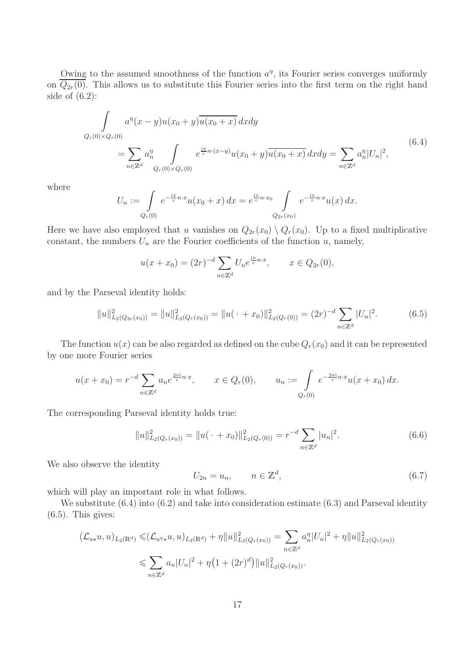Owing to the assumed smoothness of the function  $a^{\eta}$ , its Fourier series converges uniformly on  $\overline{Q_{2r}(0)}$ . This allows us to substitute this Fourier series into the first term on the right hand side of  $(6.2)$ :

$$
\int_{Q_r(0)\times Q_r(0)} a^{\eta}(x-y)u(x_0+y)\overline{u(x_0+x)} dx dy
$$
\n
$$
= \sum_{n\in\mathbb{Z}^d} a_n^{\eta} \int_{Q_r(0)\times Q_r(0)} e^{\frac{i\pi}{r}n\cdot(x-y)} u(x_0+y)\overline{u(x_0+x)} dx dy = \sum_{n\in\mathbb{Z}^d} a_n^{\eta} |U_n|^2,
$$
\n(6.4)

where

$$
U_n := \int_{Q_r(0)} e^{-\frac{i\pi}{r} n \cdot x} u(x_0 + x) dx = e^{\frac{i\pi}{r} n \cdot x_0} \int_{Q_{2r}(x_0)} e^{-\frac{i\pi}{r} n \cdot x} u(x) dx.
$$

Here we have also employed that u vanishes on  $Q_{2r}(x_0) \setminus Q_r(x_0)$ . Up to a fixed multiplicative constant, the numbers  $U_n$  are the Fourier coefficients of the function u, namely,

$$
u(x+x_0) = (2r)^{-d} \sum_{n \in \mathbb{Z}^d} U_n e^{\frac{i\pi}{r} n \cdot x}, \qquad x \in Q_{2r}(0),
$$

and by the Parseval identity holds:

$$
||u||_{L_2(Q_{2r}(x_0))}^2 = ||u||_{L_2(Q_r(x_0))}^2 = ||u(\cdot + x_0)||_{L_2(Q_r(0))}^2 = (2r)^{-d} \sum_{n \in \mathbb{Z}^d} |U_n|^2.
$$
 (6.5)

The function  $u(x)$  can be also regarded as defined on the cube  $Q_r(x_0)$  and it can be represented by one more Fourier series

$$
u(x+x_0) = r^{-d} \sum_{n \in \mathbb{Z}^d} u_n e^{\frac{2\pi i}{r} n \cdot x}, \qquad x \in Q_r(0), \qquad u_n := \int_{Q_r(0)} e^{-\frac{2\pi i}{r} n \cdot x} u(x+x_0) dx.
$$

The corresponding Parseval identity holds true:

$$
||u||_{L_2(Q_r(x_0))}^2 = ||u(\cdot + x_0)||_{L_2(Q_r(0))}^2 = r^{-d} \sum_{n \in \mathbb{Z}^d} |u_n|^2.
$$
 (6.6)

We also observe the identity

$$
U_{2n} = u_n, \qquad n \in \mathbb{Z}^d, \tag{6.7}
$$

which will play an important role in what follows.

We substitute  $(6.4)$  into  $(6.2)$  and take into consideration estimate  $(6.3)$  and Parseval identity  $(6.5)$ . This gives:

$$
(\mathcal{L}_{a\star}u, u)_{L_2(\mathbb{R}^d)} \leqslant (\mathcal{L}_{a^{\eta}\star}u, u)_{L_2(\mathbb{R}^d)} + \eta \|u\|_{L_2(Q_r(x_0))}^2 = \sum_{n \in \mathbb{Z}^d} a_n^{\eta} |U_n|^2 + \eta \|u\|_{L_2(Q_r(x_0))}^2
$$
  

$$
\leqslant \sum_{n \in \mathbb{Z}^d} a_n |U_n|^2 + \eta \left(1 + (2r)^d\right) \|u\|_{L_2(Q_r(x_0))}^2.
$$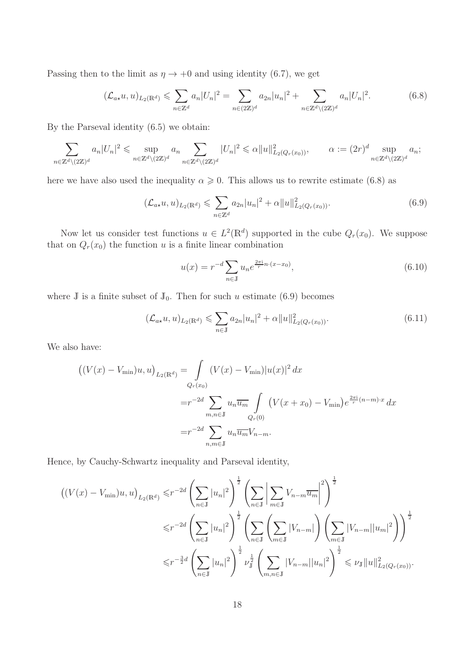Passing then to the limit as  $\eta \to +0$  and using identity (6.7), we get

$$
(\mathcal{L}_{a\star}u, u)_{L_2(\mathbb{R}^d)} \leq \sum_{n \in \mathbb{Z}^d} a_n |U_n|^2 = \sum_{n \in (2\mathbb{Z})^d} a_{2n} |u_n|^2 + \sum_{n \in \mathbb{Z}^d \setminus (2\mathbb{Z})^d} a_n |U_n|^2.
$$
 (6.8)

By the Parseval identity (6.5) we obtain:

$$
\sum_{n\in\mathbb{Z}^d\backslash(2\mathbb{Z})^d} a_n|U_n|^2\leqslant \sup_{n\in\mathbb{Z}^d\backslash(2\mathbb{Z})^d} a_n\sum_{n\in\mathbb{Z}^d\backslash(2\mathbb{Z})^d}|U_n|^2\leqslant \alpha\|u\|_{L_2(Q_r(x_0))}^2, \qquad \alpha:=(2r)^d\sup_{n\in\mathbb{Z}^d\backslash(2\mathbb{Z})^d} a_n;
$$

here we have also used the inequality  $\alpha \geq 0$ . This allows us to rewrite estimate (6.8) as

$$
(\mathcal{L}_{a\star}u, u)_{L_2(\mathbb{R}^d)} \leq \sum_{n \in \mathbb{Z}^d} a_{2n} |u_n|^2 + \alpha \|u\|_{L_2(Q_r(x_0))}^2.
$$
 (6.9)

Now let us consider test functions  $u \in L^2(\mathbb{R}^d)$  supported in the cube  $Q_r(x_0)$ . We suppose that on  $Q_r(x_0)$  the function u is a finite linear combination

$$
u(x) = r^{-d} \sum_{n \in \mathbb{J}} u_n e^{\frac{2\pi i}{r} n \cdot (x - x_0)},
$$
\n(6.10)

where J is a finite subset of  $J_0$ . Then for such u estimate (6.9) becomes

$$
(\mathcal{L}_{a\star}u, u)_{L_2(\mathbb{R}^d)} \leq \sum_{n \in \mathbb{J}} a_{2n} |u_n|^2 + \alpha \|u\|_{L_2(Q_r(x_0))}^2.
$$
 (6.11)

We also have:

$$
\left( (V(x) - V_{\min})u, u \right)_{L_2(\mathbb{R}^d)} = \int_{Q_r(x_0)} (V(x) - V_{\min}) |u(x)|^2 dx
$$
  
=  $r^{-2d} \sum_{m,n \in \mathbb{J}} u_n \overline{u_m} \int_{Q_r(0)} (V(x + x_0) - V_{\min}) e^{\frac{2\pi i}{r}(n-m)\cdot x} dx$   
=  $r^{-2d} \sum_{n,m \in \mathbb{J}} u_n \overline{u_m} V_{n-m}.$ 

Hence, by Cauchy-Schwartz inequality and Parseval identity,

$$
\left( (V(x) - V_{\min})u, u \right)_{L_2(\mathbb{R}^d)} \le r^{-2d} \left( \sum_{n \in \mathbb{J}} |u_n|^2 \right)^{\frac{1}{2}} \left( \sum_{n \in \mathbb{J}} \left| \sum_{m \in \mathbb{J}} V_{n-m} \overline{u_m} \right|^2 \right)^{\frac{1}{2}}
$$
  

$$
\le r^{-2d} \left( \sum_{n \in \mathbb{J}} |u_n|^2 \right)^{\frac{1}{2}} \left( \sum_{n \in \mathbb{J}} \left| \sum_{m \in \mathbb{J}} |V_{n-m}| \right| \left( \sum_{m \in \mathbb{J}} |V_{n-m}| |u_m|^2 \right) \right)^{\frac{1}{2}}
$$
  

$$
\le r^{-\frac{3}{2}d} \left( \sum_{n \in \mathbb{J}} |u_n|^2 \right)^{\frac{1}{2}} \nu_{\mathbb{J}}^{\frac{1}{2}} \left( \sum_{m,n \in \mathbb{J}} |V_{n-m}| |u_n|^2 \right)^{\frac{1}{2}} \le \nu_{\mathbb{J}} \|u\|_{L_2(Q_r(x_0))}^2.
$$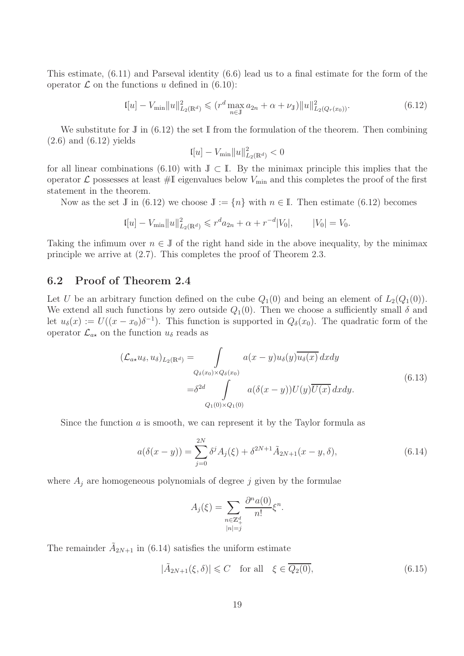This estimate, (6.11) and Parseval identity (6.6) lead us to a final estimate for the form of the operator  $\mathcal L$  on the functions u defined in (6.10):

$$
\left\|u\right\| - V_{\min} \|u\|_{L_2(\mathbb{R}^d)}^2 \leqslant \left(r^d \max_{n \in \mathbb{J}} a_{2n} + \alpha + \nu_{\mathbb{J}}\right) \|u\|_{L_2(Q_r(x_0))}^2. \tag{6.12}
$$

We substitute for  $\mathbb J$  in (6.12) the set  $\mathbb I$  from the formulation of the theorem. Then combining  $(2.6)$  and  $(6.12)$  yields

$$
[u] - V_{\min} ||u||^2_{L_2(\mathbb{R}^d)} < 0
$$

for all linear combinations (6.10) with  $J \subset I$ . By the minimax principle this implies that the operator  $\mathcal L$  possesses at least  $\#\mathbb{I}$  eigenvalues below  $V_{\min}$  and this completes the proof of the first statement in the theorem.

Now as the set J in (6.12) we choose  $J := \{n\}$  with  $n \in I$ . Then estimate (6.12) becomes

$$
I[u] - V_{\min} ||u||_{L_2(\mathbb{R}^d)}^2 \leqslant r^d a_{2n} + \alpha + r^{-d} |V_0|, \qquad |V_0| = V_0.
$$

Taking the infimum over  $n \in J$  of the right hand side in the above inequality, by the minimax principle we arrive at (2.7). This completes the proof of Theorem 2.3.

#### 6.2 Proof of Theorem 2.4

Let U be an arbitrary function defined on the cube  $Q_1(0)$  and being an element of  $L_2(Q_1(0))$ . We extend all such functions by zero outside  $Q_1(0)$ . Then we choose a sufficiently small  $\delta$  and let  $u_{\delta}(x) := U((x - x_0)\delta^{-1})$ . This function is supported in  $Q_{\delta}(x_0)$ . The quadratic form of the operator  $\mathcal{L}_{a\star}$  on the function  $u_{\delta}$  reads as

$$
(\mathcal{L}_{a\star}u_{\delta}, u_{\delta})_{L_2(\mathbb{R}^d)} = \int_{Q_{\delta}(x_0)\times Q_{\delta}(x_0)} a(x-y)u_{\delta}(y)\overline{u_{\delta}(x)} dxdy
$$
  

$$
= \delta^{2d} \int_{Q_1(0)\times Q_1(0)} a(\delta(x-y))U(y)\overline{U(x)} dxdy.
$$
 (6.13)

Since the function  $\alpha$  is smooth, we can represent it by the Taylor formula as

$$
a(\delta(x-y)) = \sum_{j=0}^{2N} \delta^j A_j(\xi) + \delta^{2N+1} \tilde{A}_{2N+1}(x-y,\delta), \tag{6.14}
$$

where  $A_j$  are homogeneous polynomials of degree  $j$  given by the formulae

$$
A_j(\xi) = \sum_{\substack{n \in \mathbb{Z}_+^d \\ |n| = j}} \frac{\partial^n a(0)}{n!} \xi^n.
$$

The remainder  $\tilde{A}_{2N+1}$  in (6.14) satisfies the uniform estimate

$$
|\tilde{A}_{2N+1}(\xi,\delta)| \leq C \quad \text{for all} \quad \xi \in \overline{Q_2(0)},\tag{6.15}
$$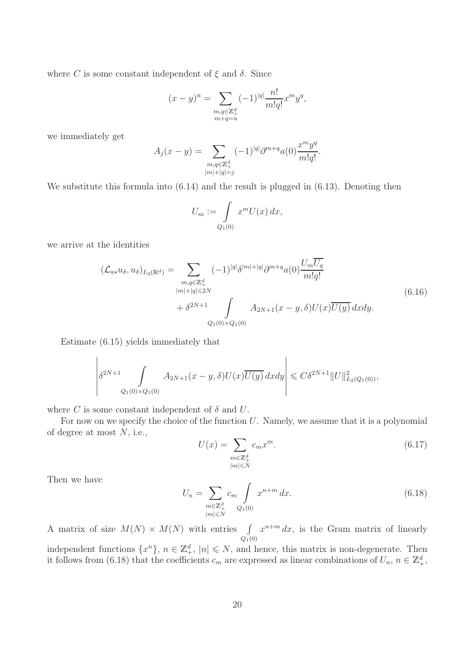where C is some constant independent of  $\xi$  and  $\delta$ . Since

$$
(x - y)^n = \sum_{\substack{m,q \in \mathbb{Z}_+^d \\ m + q = n}} (-1)^{|q|} \frac{n!}{m!q!} x^m y^q,
$$

we immediately get

$$
A_j(x - y) = \sum_{\substack{m,q \in \mathbb{Z}_+^d \\ |m|+|q|=j}} (-1)^{|q|} \partial^{m+q} a(0) \frac{x^m y^q}{m! q!}.
$$

We substitute this formula into  $(6.14)$  and the result is plugged in  $(6.13)$ . Denoting then

$$
U_m := \int\limits_{Q_1(0)} x^m U(x) \, dx,
$$

we arrive at the identities

$$
(\mathcal{L}_{a\star}u_{\delta}, u_{\delta})_{L_2(\mathbb{R}^d)} = \sum_{\substack{m,q \in \mathbb{Z}_+^d \\ |m|+|q| \le 2N}} (-1)^{|q|} \delta^{|m|+|q|} \partial^{m+q} a(0) \frac{U_m U_q}{m! q!} + \delta^{2N+1} \int_{Q_1(0) \times Q_1(0)} A_{2N+1}(x-y,\delta) U(x) \overline{U(y)} dx dy.
$$
 (6.16)

Estimate (6.15) yields immediately that

$$
\left|\delta^{2N+1}\int\limits_{Q_1(0)\times Q_1(0)}A_{2N+1}(x-y,\delta)U(x)\overline{U(y)}\,dxdy\right|\leqslant C\delta^{2N+1}\|U\|_{L_2(Q_1(0))}^2,
$$

where C is some constant independent of  $\delta$  and U.

For now on we specify the choice of the function  $U$ . Namely, we assume that it is a polynomial of degree at most  $N$ , i.e.,

$$
U(x) = \sum_{\substack{m \in \mathbb{Z}_+^d \\ |m| \le N}} c_m x^m.
$$
\n
$$
(6.17)
$$

Then we have

$$
U_n = \sum_{\substack{m \in \mathbb{Z}_+^d \\ |m| \le N}} c_m \int_{Q_1(0)} x^{n+m} dx.
$$
 (6.18)

A matrix of size  $M(N) \times M(N)$  with entries  $\int_{Q_1(0)}$  $x^{n+m} dx$ , is the Gram matrix of linearly independent functions  $\{x^n\}$ ,  $n \in \mathbb{Z}_+^d$ ,  $|n| \leq N$ , and hence, this matrix is non-degenerate. Then it follows from (6.18) that the coefficients  $c_m$  are expressed as linear combinations of  $U_n$ ,  $n \in \mathbb{Z}_+^d$ ,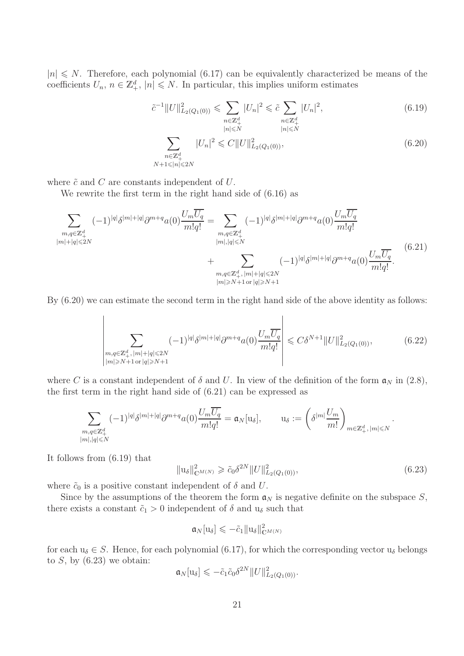$|n| \leq N$ . Therefore, each polynomial (6.17) can be equivalently characterized be means of the coefficients  $U_n$ ,  $n \in \mathbb{Z}_+^d$ ,  $|n| \le N$ . In particular, this implies uniform estimates

$$
\tilde{c}^{-1}||U||_{L_2(Q_1(0))}^2 \leq \sum_{\substack{n \in \mathbb{Z}_+^d \\ |n| \leq N}} |U_n|^2 \leq \tilde{c} \sum_{\substack{n \in \mathbb{Z}_+^d \\ |n| \leq N}} |U_n|^2, \tag{6.19}
$$
\n
$$
\sum_{\substack{n \in \mathbb{Z}_+^d \\ N+1 \leq |n| \leq 2N}} |U_n|^2 \leq C||U||_{L_2(Q_1(0))}^2, \tag{6.20}
$$

where  $\tilde{c}$  and  $C$  are constants independent of  $U$ .

We rewrite the first term in the right hand side of (6.16) as

$$
\sum_{\substack{m,q\in\mathbb{Z}_{+}^{d} \\ |m|+|q|\leqslant 2N}} (-1)^{|q|} \delta^{|m|+|q|} \partial^{m+q} a(0) \frac{U_{m}\overline{U_{q}}}{m!q!} = \sum_{\substack{m,q\in\mathbb{Z}_{+}^{d} \\ |m|,|q|\leqslant N}} (-1)^{|q|} \delta^{|m|+|q|} \partial^{m+q} a(0) \frac{U_{m}\overline{U_{q}}}{m!q!} + \sum_{\substack{m,q\in\mathbb{Z}_{+}^{d}, \\ |m| \geqslant N+1}} (-1)^{|q|} \delta^{|m|+|q|} \partial^{m+q} a(0) \frac{U_{m}\overline{U_{q}}}{m!q!}.
$$
\n(6.21)

By  $(6.20)$  we can estimate the second term in the right hand side of the above identity as follows:

$$
\left| \sum_{\substack{m,q \in \mathbb{Z}_+^d, |m|+|q| \le 2N \\ |m| \ge N+1 \text{ or } |q| \ge N+1}} (-1)^{|q|} \delta^{|m|+|q|} \partial^{m+q} a(0) \frac{U_m \overline{U_q}}{m!q!} \right| \le C \delta^{N+1} \|U\|_{L_2(Q_1(0))}^2, \tag{6.22}
$$

where C is a constant independent of  $\delta$  and U. In view of the definition of the form  $\mathfrak{a}_N$  in (2.8), the first term in the right hand side of (6.21) can be expressed as

$$
\sum_{\substack{m,q\in\mathbb{Z}_+^d\\ |m|,|q|\leqslant N}} (-1)^{|q|} \delta^{|m|+|q|} \partial^{m+q} a(0) \frac{U_m \overline{U_q}}{m!q!} = \mathfrak{a}_N[\mathbf{u}_\delta], \qquad \mathbf{u}_\delta := \left(\delta^{|m|} \frac{U_m}{m!}\right)_{m\in\mathbb{Z}_+^d, |m|\leqslant N}.
$$

It follows from (6.19) that

$$
||u_{\delta}||_{\mathbb{C}^{M(N)}}^2 \ge \tilde{c}_0 \delta^{2N} ||U||_{L_2(Q_1(0))}^2,
$$
\n(6.23)

where  $\tilde{c}_0$  is a positive constant independent of  $\delta$  and U.

Since by the assumptions of the theorem the form  $a_N$  is negative definite on the subspace S, there exists a constant  $\tilde{c}_1 > 0$  independent of  $\delta$  and  $u_{\delta}$  such that

$$
\mathfrak{a}_N[\mathbf{u}_\delta] \leqslant -\tilde{c}_1 \|\mathbf{u}_\delta\|_{\mathbb{C}^{M(N)}}^2
$$

for each  $u_{\delta} \in S$ . Hence, for each polynomial (6.17), for which the corresponding vector  $u_{\delta}$  belongs to  $S$ , by  $(6.23)$  we obtain:

$$
\mathfrak{a}_N[\mathbf{u}_\delta] \leqslant -\tilde{c}_1 \tilde{c}_0 \delta^{2N} ||U||^2_{L_2(Q_1(0))}.
$$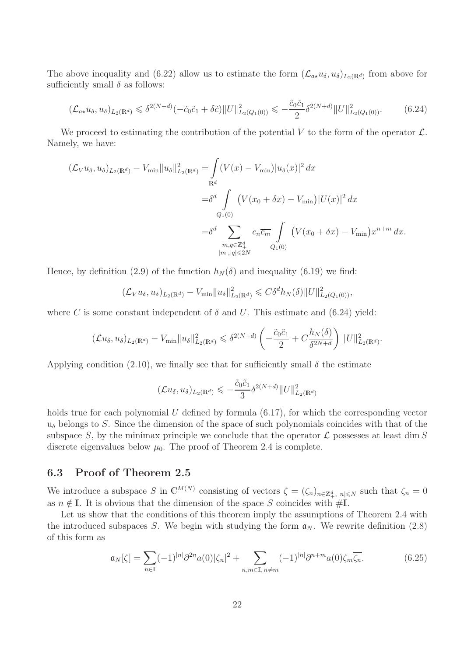The above inequality and (6.22) allow us to estimate the form  $(\mathcal{L}_{a\star}u_{\delta}, u_{\delta})_{L_2(\mathbb{R}^d)}$  from above for sufficiently small  $\delta$  as follows:

$$
(\mathcal{L}_{a\star}u_{\delta}, u_{\delta})_{L_2(\mathbb{R}^d)} \leq \delta^{2(N+d)}(-\tilde{c}_0\tilde{c}_1 + \delta\tilde{c})\|U\|_{L_2(Q_1(0))}^2 \leq -\frac{\tilde{c}_0\tilde{c}_1}{2}\delta^{2(N+d)}\|U\|_{L_2(Q_1(0))}^2. \tag{6.24}
$$

We proceed to estimating the contribution of the potential V to the form of the operator  $\mathcal{L}$ . Namely, we have:

$$
(\mathcal{L}_V u_\delta, u_\delta)_{L_2(\mathbb{R}^d)} - V_{\min} ||u_\delta||^2_{L_2(\mathbb{R}^d)} = \int_{\mathbb{R}^d} (V(x) - V_{\min}) |u_\delta(x)|^2 dx
$$
  

$$
= \delta^d \int_{Q_1(0)} (V(x_0 + \delta x) - V_{\min}) |U(x)|^2 dx
$$
  

$$
= \delta^d \sum_{\substack{m,q \in \mathbb{Z}_+^d \\ |m|, |q| \le 2N}} c_n \overline{c_m} \int_{Q_1(0)} (V(x_0 + \delta x) - V_{\min}) x^{n+m} dx.
$$

Hence, by definition (2.9) of the function  $h_N(\delta)$  and inequality (6.19) we find:

$$
(\mathcal{L}_V u_\delta, u_\delta)_{L_2(\mathbb{R}^d)} - V_{\min} \|u_\delta\|_{L_2(\mathbb{R}^d)}^2 \leq C \delta^d h_N(\delta) \|U\|_{L_2(Q_1(0))}^2,
$$

where C is some constant independent of  $\delta$  and U. This estimate and (6.24) yield:

$$
(\mathcal{L}u_{\delta}, u_{\delta})_{L_2(\mathbb{R}^d)} - V_{\min} \|u_{\delta}\|_{L_2(\mathbb{R}^d)}^2 \leq \delta^{2(N+d)} \left( -\frac{\tilde{c}_0 \tilde{c}_1}{2} + C \frac{h_N(\delta)}{\delta^{2N+d}} \right) \|U\|_{L_2(\mathbb{R}^d)}^2.
$$

Applying condition (2.10), we finally see that for sufficiently small  $\delta$  the estimate

$$
(\mathcal{L}u_{\delta}, u_{\delta})_{L_2(\mathbb{R}^d)} \leqslant -\frac{\tilde{c}_0\tilde{c}_1}{3}\delta^{2(N+d)}\|U\|_{L_2(\mathbb{R}^d)}^2
$$

holds true for each polynomial  $U$  defined by formula  $(6.17)$ , for which the corresponding vector  $u_{\delta}$  belongs to S. Since the dimension of the space of such polynomials coincides with that of the subspace S, by the minimax principle we conclude that the operator  $\mathcal L$  possesses at least dim S discrete eigenvalues below  $\mu_0$ . The proof of Theorem 2.4 is complete.

#### 6.3 Proof of Theorem 2.5

We introduce a subspace S in  $\mathbb{C}^{M(N)}$  consisting of vectors  $\zeta = (\zeta_n)_{n \in \mathbb{Z}^d_+, |n| \leq N}$  such that  $\zeta_n = 0$ as  $n \notin \mathbb{I}$ . It is obvious that the dimension of the space S coincides with #I.

Let us show that the conditions of this theorem imply the assumptions of Theorem 2.4 with the introduced subspaces S. We begin with studying the form  $a_N$ . We rewrite definition (2.8) of this form as

$$
\mathfrak{a}_N[\zeta] = \sum_{n \in \mathbb{I}} (-1)^{|n|} \partial^{2n} a(0) |\zeta_n|^2 + \sum_{n,m \in \mathbb{I}, n \neq m} (-1)^{|n|} \partial^{n+m} a(0) \zeta_m \overline{\zeta_n}.
$$
 (6.25)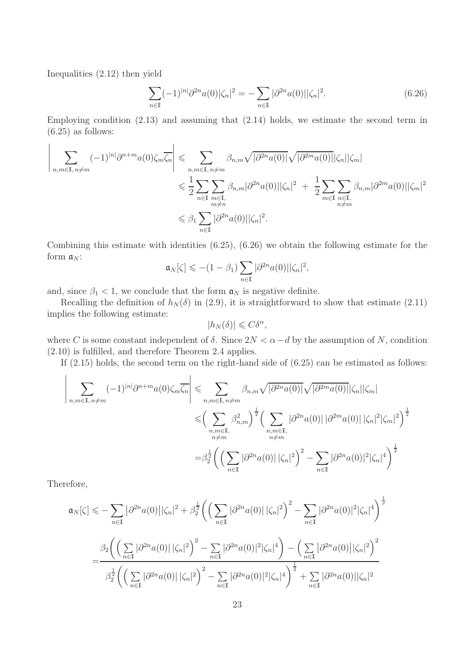Inequalities (2.12) then yield

$$
\sum_{n\in\mathbb{I}}(-1)^{|n|}\partial^{2n}a(0)|\zeta_n|^2=-\sum_{n\in\mathbb{I}}|\partial^{2n}a(0)||\zeta_n|^2.
$$
\n(6.26)

Employing condition (2.13) and assuming that (2.14) holds, we estimate the second term in  $(6.25)$  as follows:

$$
\left| \sum_{\substack{n,m \in \mathbb{I}, n \neq m}} (-1)^{|n|} \partial^{n+m} a(0) \zeta_m \overline{\zeta_n} \right| \leq \sum_{\substack{n,m \in \mathbb{I}, n \neq m \\ n \neq n}} \beta_{n,m} \sqrt{|\partial^{2n} a(0)|} \sqrt{|\partial^{2m} a(0)|} |\zeta_n| |\zeta_m|
$$
  

$$
\leq \frac{1}{2} \sum_{n \in \mathbb{I}} \sum_{\substack{m \in \mathbb{I}, \\ m \neq n}} \beta_{n,m} |\partial^{2n} a(0)| |\zeta_n|^2 + \frac{1}{2} \sum_{m \in \mathbb{I}} \sum_{\substack{n \in \mathbb{I}, \\ n \neq m}} \beta_{n,m} |\partial^{2m} a(0)| |\zeta_m|^2
$$
  

$$
\leq \beta_1 \sum_{n \in \mathbb{I}} |\partial^{2n} a(0)| |\zeta_n|^2.
$$

Combining this estimate with identities (6.25), (6.26) we obtain the following estimate for the form  $\mathfrak{a}_N$ :

$$
\mathfrak{a}_N[\zeta] \leqslant -(1-\beta_1) \sum_{n\in\mathbb{I}} |\partial^{2n} a(0)||\zeta_n|^2,
$$

and, since  $\beta_1$  < 1, we conclude that the form  $\mathfrak{a}_N$  is negative definite.

Recalling the definition of  $h_N(\delta)$  in (2.9), it is straightforward to show that estimate (2.11) implies the following estimate:

$$
|h_N(\delta)| \leqslant C\delta^{\alpha},
$$

where C is some constant independent of  $\delta$ . Since  $2N < \alpha - d$  by the assumption of N, condition (2.10) is fulfilled, and therefore Theorem 2.4 applies.

If (2.15) holds, the second term on the right-hand side of (6.25) can be estimated as follows:

$$
\left| \sum_{\substack{n,m \in \mathbb{I}, n \neq m}} (-1)^{|n|} \partial^{n+m} a(0) \zeta_m \overline{\zeta_n} \right| \leq \sum_{\substack{n,m \in \mathbb{I}, n \neq m}} \beta_{n,m} \sqrt{|\partial^{2n} a(0)|} \sqrt{|\partial^{2m} a(0)|} |\zeta_n| |\zeta_m|
$$
  

$$
\leq \Big( \sum_{\substack{n,m \in \mathbb{I}, n \neq m}} \beta_{n,m}^2 \Big)^{\frac{1}{2}} \Big( \sum_{\substack{n,m \in \mathbb{I}, n \neq m}} |\partial^{2n} a(0)| |\partial^{2m} a(0)| |\zeta_n|^2 |\zeta_m|^2 \Big)^{\frac{1}{2}}
$$
  

$$
= \beta_2^{\frac{1}{2}} \Big( \Big( \sum_{n \in \mathbb{I}} |\partial^{2n} a(0)| |\zeta_n|^2 \Big)^2 - \sum_{n \in \mathbb{I}} |\partial^{2n} a(0)|^2 |\zeta_n|^4 \Big)^{\frac{1}{2}}
$$

Therefore,

$$
\mathfrak{a}_{N}[\zeta] \leq -\sum_{n\in\mathbb{I}} |\partial^{2n} a(0)||\zeta_{n}|^{2} + \beta_{2}^{\frac{1}{2}} \bigg( \Big( \sum_{n\in\mathbb{I}} |\partial^{2n} a(0)||\zeta_{n}|^{2} \Big)^{2} - \sum_{n\in\mathbb{I}} |\partial^{2n} a(0)||^{2}|\zeta_{n}|^{4} \bigg)^{\frac{1}{2}}
$$

$$
= \frac{\beta_{2} \bigg( \Big( \sum_{n\in\mathbb{I}} |\partial^{2n} a(0)||\zeta_{n}|^{2} \Big)^{2} - \sum_{n\in\mathbb{I}} |\partial^{2n} a(0)||^{2}|\zeta_{n}|^{4} \bigg) - \Big( \sum_{n\in\mathbb{I}} |\partial^{2n} a(0)||\zeta_{n}|^{2} \Big)^{2}}{\beta_{2}^{\frac{1}{2}} \bigg( \Big( \sum_{n\in\mathbb{I}} |\partial^{2n} a(0)||\zeta_{n}|^{2} \Big)^{2} - \sum_{n\in\mathbb{I}} |\partial^{2n} a(0)||^{2}|\zeta_{n}|^{4} \bigg)^{\frac{1}{2}} + \sum_{n\in\mathbb{I}} |\partial^{2n} a(0)||\zeta_{n}|^{2}}
$$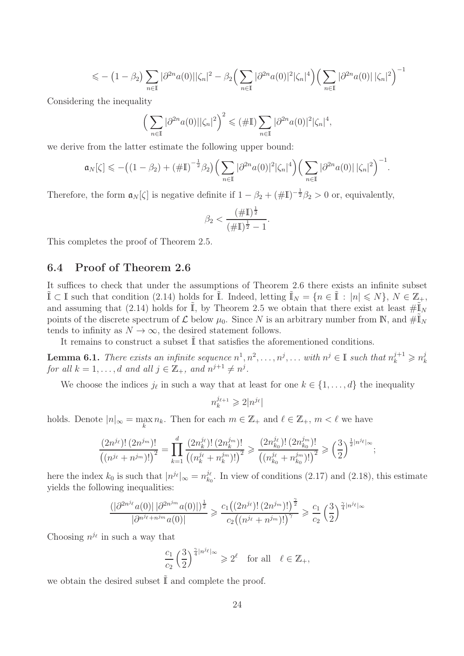$$
\leqslant -\left(1-\beta_2\right)\sum_{n\in\mathbb{I}}|\partial^{2n}a(0)||\zeta_n|^2-\beta_2\Big(\sum_{n\in\mathbb{I}}|\partial^{2n}a(0)|^2|\zeta_n|^4\Big)\Big(\sum_{n\in\mathbb{I}}|\partial^{2n}a(0)||\zeta_n|^2\Big)^{-1}
$$

Considering the inequality

$$
\left(\sum_{n\in\mathbb{I}}|\partial^{2n}a(0)||\zeta_n|^2\right)^2\leqslant(\#\mathbb{I})\sum_{n\in\mathbb{I}}|\partial^{2n}a(0)|^2|\zeta_n|^4,
$$

we derive from the latter estimate the following upper bound:

$$
\mathfrak{a}_N[\zeta] \leqslant -\big((1-\beta_2)+(\#\mathbb{I})^{-\frac{1}{2}}\beta_2\big)\Big(\sum_{n\in\mathbb{I}}|\partial^{2n}a(0)|^2|\zeta_n|^4\Big)\Big(\sum_{n\in\mathbb{I}}|\partial^{2n}a(0)|\,|\zeta_n|^2\Big)^{-1}.
$$

Therefore, the form  $\mathfrak{a}_N[\zeta]$  is negative definite if  $1 - \beta_2 + (\#\mathbb{I})^{-\frac{1}{2}}\beta_2 > 0$  or, equivalently,

$$
\beta_2 < \frac{(\# \mathbb{I})^{\frac{1}{2}}}{(\# \mathbb{I})^{\frac{1}{2}} - 1}.
$$

This completes the proof of Theorem 2.5.

#### 6.4 Proof of Theorem 2.6

It suffices to check that under the assumptions of Theorem 2.6 there exists an infinite subset  $\tilde{\mathbb{I}} \subset \mathbb{I}$  such that condition (2.14) holds for  $\tilde{\mathbb{I}}$ . Indeed, letting  $\tilde{\mathbb{I}}_N = \{n \in \tilde{\mathbb{I}} : |n| \leq N\}$ ,  $N \in \mathbb{Z}_+$ , and assuming that (2.14) holds for  $\tilde{I}$ , by Theorem 2.5 we obtain that there exist at least  $\#\tilde{I}_N$ points of the discrete spectrum of  $\mathcal L$  below  $\mu_0$ . Since N is an arbitrary number from N, and  $\#\mathbb{I}_N$ tends to infinity as  $N \to \infty$ , the desired statement follows.

It remains to construct a subset  $\tilde{\mathbb{I}}$  that satisfies the aforementioned conditions.

**Lemma 6.1.** *There exists an infinite sequence*  $n^1, n^2, \ldots, n^j, \ldots$  *with*  $n^j \in \mathbb{I}$  *such that*  $n_k^{j+1} \geq n_k^j$ *for all*  $k = 1, ..., d$  and all  $j \in \mathbb{Z}_+$ , and  $n^{j+1} \neq n^j$ .

We choose the indices  $j_{\ell}$  in such a way that at least for one  $k \in \{1, ..., d\}$  the inequality

$$
n_k^{j_{\ell+1}} \geqslant 2|n^{j_\ell}|
$$

holds. Denote  $|n|_{\infty} = \max_{k} n_k$ . Then for each  $m \in \mathbb{Z}_+$  and  $\ell \in \mathbb{Z}_+$ ,  $m < \ell$  we have

$$
\frac{(2n^{j_{\ell}})!(2n^{j_{m}})!}{\left((n^{j_{\ell}}+n^{j_{m}})!\right)^{2}}=\prod_{k=1}^{d}\frac{(2n_{k}^{j_{\ell}})!(2n_{k}^{j_{m}})!}{\left((n_{k}^{j_{\ell}}+n_{k}^{j_{m}})!\right)^{2}}\geqslant\frac{(2n_{k_{0}}^{j_{\ell}})!(2n_{k_{0}}^{j_{m}})!}{\left((n_{k_{0}}^{j_{\ell}}+n_{k_{0}}^{j_{m}})!\right)^{2}}\geqslant\left(\frac{3}{2}\right)^{\frac{1}{2}|n^{j_{\ell}}|_{\infty}};
$$

here the index  $k_0$  is such that  $|n^{j_\ell}|_{\infty} = n_{k_0}^{j_\ell}$  $\frac{\partial \ell}{\partial k_0}$ . In view of conditions (2.17) and (2.18), this estimate yields the following inequalities:

$$
\frac{(|\partial^{2n^{j_{\ell}}}a(0)||\partial^{2n^{j_{m}}}a(0)|)^{\frac{1}{2}}}{|\partial^{n^{j_{\ell}}+n^{j_{m}}}a(0)|} \geqslant \frac{c_{1}((2n^{j_{\ell}})!(2n^{j_{m}})!)^{\frac{\gamma}{2}}}{c_{2}((n^{j_{\ell}}+n^{j_{m}})!)^{\gamma}} \geqslant \frac{c_{1}}{c_{2}}\left(\frac{3}{2}\right)^{\frac{\gamma}{4}|n^{j_{\ell}}|_{\infty}}
$$

Choosing  $n^{j_{\ell}}$  in such a way that

$$
\frac{c_1}{c_2} \left(\frac{3}{2}\right)^{\frac{\gamma}{4}|n^{j_\ell}|_\infty} \geqslant 2^\ell \quad \text{for all} \quad \ell \in \mathbb{Z}_+,
$$

we obtain the desired subset  $\tilde{\mathbb{I}}$  and complete the proof.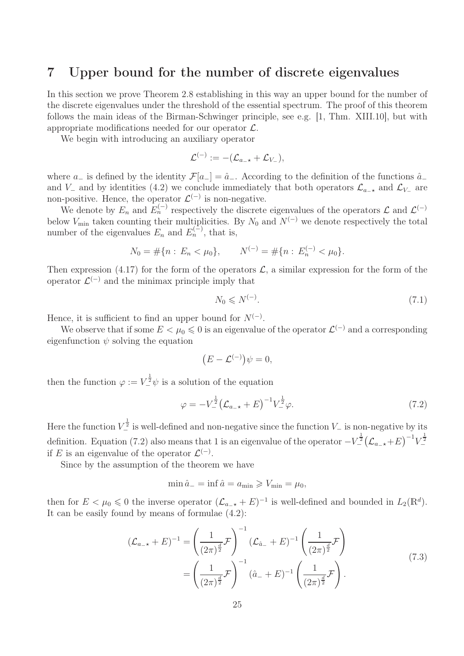### 7 Upper bound for the number of discrete eigenvalues

In this section we prove Theorem 2.8 establishing in this way an upper bound for the number of the discrete eigenvalues under the threshold of the essential spectrum. The proof of this theorem follows the main ideas of the Birman-Schwinger principle, see e.g. [1, Thm. XIII.10], but with appropriate modifications needed for our operator  $\mathcal{L}$ .

We begin with introducing an auxiliary operator

$$
\mathcal{L}^{(-)} := -(\mathcal{L}_{a_{-*}} + \mathcal{L}_{V_{-}}),
$$

where  $a_-\,$  is defined by the identity  $\mathcal{F}[a_-\,]=\hat{a}_-\,$ . According to the definition of the functions  $\hat{a}_-\,$ and V<sub>−</sub> and by identities (4.2) we conclude immediately that both operators  $\mathcal{L}_{a_{-}\star}$  and  $\mathcal{L}_{V_{-}}$  are non-positive. Hence, the operator  $\mathcal{L}^{(-)}$  is non-negative.

We denote by  $E_n$  and  $E_n^{(-)}$  respectively the discrete eigenvalues of the operators  $\mathcal L$  and  $\mathcal L^{(-)}$ below  $V_{\text{min}}$  taken counting their multiplicities. By  $N_0$  and  $N^{(-)}$  we denote respectively the total number of the eigenvalues  $E_n$  and  $E_n^{(-)}$ , that is,

$$
N_0 = \#\{n : E_n < \mu_0\}, \qquad N^{(-)} = \#\{n : E_n^{(-)} < \mu_0\}.
$$

Then expression (4.17) for the form of the operators  $\mathcal{L}$ , a similar expression for the form of the operator  $\mathcal{L}^{(-)}$  and the minimax principle imply that

$$
N_0 \leqslant N^{(-)}.\tag{7.1}
$$

Hence, it is sufficient to find an upper bound for  $N^{(-)}$ .

We observe that if some  $E < \mu_0 \leq 0$  is an eigenvalue of the operator  $\mathcal{L}^{(-)}$  and a corresponding eigenfunction  $\psi$  solving the equation

$$
(E-\mathcal{L}^{(-)})\psi=0,
$$

then the function  $\varphi := V^{\frac{1}{2}} \psi$  is a solution of the equation

$$
\varphi = -V_{-}^{\frac{1}{2}} \left( \mathcal{L}_{a_{-} \star} + E \right)^{-1} V_{-}^{\frac{1}{2}} \varphi.
$$
\n(7.2)

Here the function  $V_-^{\frac{1}{2}}$  is well-defined and non-negative since the function  $V_-$  is non-negative by its definition. Equation (7.2) also means that 1 is an eigenvalue of the operator  $-V_-^{\frac{1}{2}}(\mathcal{L}_{a-*}+E)^{-1}V_-^{\frac{1}{2}}$ if E is an eigenvalue of the operator  $\mathcal{L}^{(-)}$ .

Since by the assumption of the theorem we have

$$
\min \hat{a}_{-} = \inf \hat{a} = a_{\min} \geqslant V_{\min} = \mu_0,
$$

then for  $E < \mu_0 \leq 0$  the inverse operator  $(\mathcal{L}_{a-*} + E)^{-1}$  is well-defined and bounded in  $L_2(\mathbb{R}^d)$ . It can be easily found by means of formulae (4.2):

$$
(\mathcal{L}_{a_{-} \star} + E)^{-1} = \left(\frac{1}{(2\pi)^{\frac{d}{2}}}\mathcal{F}\right)^{-1} (\mathcal{L}_{\hat{a}_{-}} + E)^{-1} \left(\frac{1}{(2\pi)^{\frac{d}{2}}}\mathcal{F}\right)
$$
  
= 
$$
\left(\frac{1}{(2\pi)^{\frac{d}{2}}}\mathcal{F}\right)^{-1} (\hat{a}_{-} + E)^{-1} \left(\frac{1}{(2\pi)^{\frac{d}{2}}}\mathcal{F}\right).
$$
 (7.3)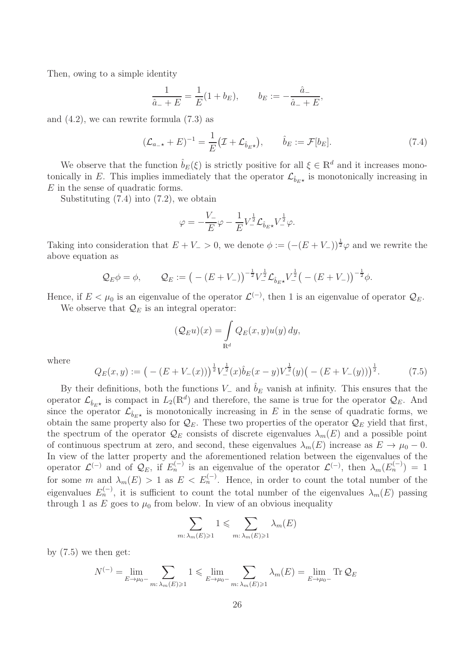Then, owing to a simple identity

$$
\frac{1}{\hat{a}_- + E} = \frac{1}{E}(1 + b_E), \qquad b_E := -\frac{\hat{a}_-}{\hat{a}_- + E},
$$

and  $(4.2)$ , we can rewrite formula  $(7.3)$  as

$$
(\mathcal{L}_{a_{-\star}} + E)^{-1} = \frac{1}{E} (\mathcal{I} + \mathcal{L}_{\hat{b}_E \star}), \qquad \hat{b}_E := \mathcal{F}[b_E]. \tag{7.4}
$$

We observe that the function  $\hat{b}_E(\xi)$  is strictly positive for all  $\xi \in \mathbb{R}^d$  and it increases monotonically in E. This implies immediately that the operator  $\mathcal{L}_{\hat{b}_E\star}$  is monotonically increasing in E in the sense of quadratic forms.

Substituting  $(7.4)$  into  $(7.2)$ , we obtain

$$
\varphi = -\frac{V_-}{E}\varphi - \frac{1}{E}V_-^{\frac{1}{2}}\mathcal{L}_{\hat{b}_E \star}V_-^{\frac{1}{2}}\varphi.
$$

Taking into consideration that  $E + V_- > 0$ , we denote  $\phi := (-(E + V_-))^{\frac{1}{2}}\varphi$  and we rewrite the above equation as

$$
Q_E \phi = \phi
$$
,  $Q_E := (-(E + V_-))^{-\frac{1}{2}} V_-^{\frac{1}{2}} \mathcal{L}_{\hat{b}_E \star} V_-^{\frac{1}{2}} (-(E + V_-))^{-\frac{1}{2}} \phi$ .

Hence, if  $E < \mu_0$  is an eigenvalue of the operator  $\mathcal{L}^{(-)}$ , then 1 is an eigenvalue of operator  $\mathcal{Q}_E$ . We observe that  $\mathcal{Q}_E$  is an integral operator:

$$
(\mathcal{Q}_E u)(x) = \int_{\mathbb{R}^d} Q_E(x, y) u(y) dy,
$$

where

$$
Q_E(x,y) := \left( - (E + V_-(x)) \right)^{\frac{1}{2}} V_-^{\frac{1}{2}}(x) \hat{b}_E(x-y) V_-^{\frac{1}{2}}(y) \left( - (E + V_-(y)) \right)^{\frac{1}{2}}.
$$
 (7.5)

By their definitions, both the functions  $V_-\$  and  $\hat{b}_E$  vanish at infinity. This ensures that the operator  $\mathcal{L}_{\hat{b}_E \star}$  is compact in  $L_2(\mathbb{R}^d)$  and therefore, the same is true for the operator  $\mathcal{Q}_E$ . And since the operator  $\mathcal{L}_{\hat{b}_{E\star}}$  is monotonically increasing in E in the sense of quadratic forms, we obtain the same property also for  $\mathcal{Q}_E$ . These two properties of the operator  $\mathcal{Q}_E$  yield that first, the spectrum of the operator  $\mathcal{Q}_E$  consists of discrete eigenvalues  $\lambda_m(E)$  and a possible point of continuous spectrum at zero, and second, these eigenvalues  $\lambda_m(E)$  increase as  $E \to \mu_0 - 0$ . In view of the latter property and the aforementioned relation between the eigenvalues of the operator  $\mathcal{L}^{(-)}$  and of  $\mathcal{Q}_E$ , if  $E_n^{(-)}$  is an eigenvalue of the operator  $\mathcal{L}^{(-)}$ , then  $\lambda_m(E_n^{(-)}) = 1$ for some m and  $\lambda_m(E) > 1$  as  $E \langle E_n^{(-)} \rangle$ . Hence, in order to count the total number of the eigenvalues  $E_n^{(-)}$ , it is sufficient to count the total number of the eigenvalues  $\lambda_m(E)$  passing through 1 as E goes to  $\mu_0$  from below. In view of an obvious inequality

$$
\sum_{m:\,\lambda_m(E)\geqslant 1}1\leqslant\sum_{m:\,\lambda_m(E)\geqslant 1}\lambda_m(E)
$$

by  $(7.5)$  we then get:

$$
N^{(-)} = \lim_{E \to \mu_0^-} \sum_{m: \lambda_m(E) \ge 1} 1 \le \lim_{E \to \mu_0^-} \sum_{m: \lambda_m(E) \ge 1} \lambda_m(E) = \lim_{E \to \mu_0^-} \text{Tr } Q_E
$$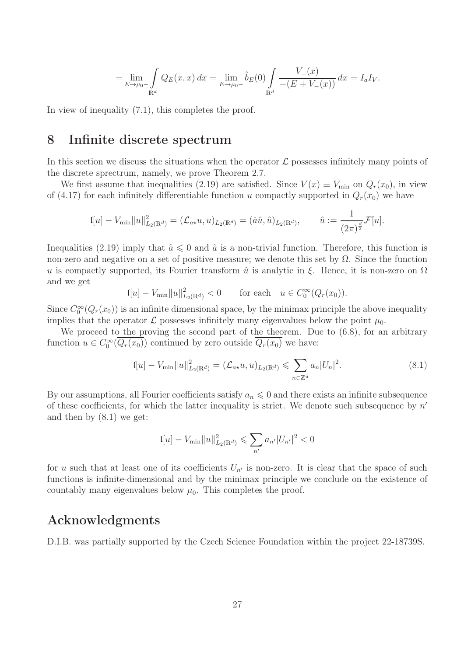$$
= \lim_{E \to \mu_0^-} \int_{\mathbb{R}^d} Q_E(x, x) dx = \lim_{E \to \mu_0^-} \hat{b}_E(0) \int_{\mathbb{R}^d} \frac{V_-(x)}{-(E + V_-(x))} dx = I_a I_v.
$$

In view of inequality (7.1), this completes the proof.

### 8 Infinite discrete spectrum

In this section we discuss the situations when the operator  $\mathcal L$  possesses infinitely many points of the discrete sprectrum, namely, we prove Theorem 2.7.

We first assume that inequalities (2.19) are satisfied. Since  $V(x) \equiv V_{\text{min}}$  on  $Q_r(x_0)$ , in view of (4.17) for each infinitely differentiable function u compactly supported in  $Q_r(x_0)$  we have

$$
\mathfrak{l}[u] - V_{\min} ||u||_{L_2(\mathbb{R}^d)}^2 = (\mathcal{L}_{a*}u, u)_{L_2(\mathbb{R}^d)} = (\hat{a}\hat{u}, \hat{u})_{L_2(\mathbb{R}^d)}, \qquad \hat{u} := \frac{1}{(2\pi)^{\frac{d}{2}}}\mathcal{F}[u].
$$

Inequalities (2.19) imply that  $\hat{a} \leq 0$  and  $\hat{a}$  is a non-trivial function. Therefore, this function is non-zero and negative on a set of positive measure; we denote this set by  $\Omega$ . Since the function u is compactly supported, its Fourier transform  $\hat{u}$  is analytic in  $\xi$ . Hence, it is non-zero on  $\Omega$ and we get

$$
\mathfrak{l}[u] - V_{\min} \|u\|_{L_2(\mathbb{R}^d)}^2 < 0 \qquad \text{for each} \quad u \in C_0^\infty(Q_r(x_0)).
$$

Since  $C_0^{\infty}(Q_r(x_0))$  is an infinite dimensional space, by the minimax principle the above inequality implies that the operator  $\mathcal L$  possesses infinitely many eigenvalues below the point  $\mu_0$ .

We proceed to the proving the second part of the theorem. Due to  $(6.8)$ , for an arbitrary function  $u \in C_0^{\infty}(\overline{Q_r(x_0)})$  continued by zero outside  $\overline{Q_r(x_0)}$  we have:

$$
\mathfrak{l}[u] - V_{\min} ||u||_{L_2(\mathbb{R}^d)}^2 = (\mathcal{L}_{a\star} u, u)_{L_2(\mathbb{R}^d)} \leqslant \sum_{n \in \mathbb{Z}^d} a_n |U_n|^2. \tag{8.1}
$$

By our assumptions, all Fourier coefficients satisfy  $a_n \leq 0$  and there exists an infinite subsequence of these coefficients, for which the latter inequality is strict. We denote such subsequence by  $n'$ and then by (8.1) we get:

$$
I[u] - V_{\min} ||u||^2_{L_2(\mathbb{R}^d)} \leqslant \sum_{n'} a_{n'} |U_{n'}|^2 < 0
$$

for u such that at least one of its coefficients  $U_{n'}$  is non-zero. It is clear that the space of such functions is infinite-dimensional and by the minimax principle we conclude on the existence of countably many eigenvalues below  $\mu_0$ . This completes the proof.

# Acknowledgments

D.I.B. was partially supported by the Czech Science Foundation within the project 22-18739S.